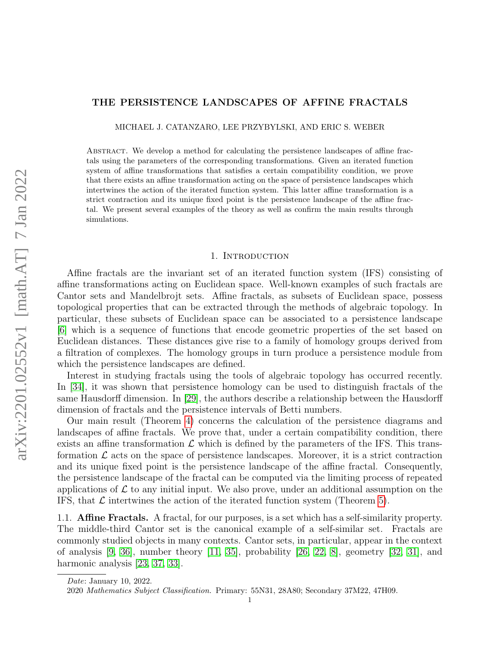# THE PERSISTENCE LANDSCAPES OF AFFINE FRACTALS

MICHAEL J. CATANZARO, LEE PRZYBYLSKI, AND ERIC S. WEBER

Abstract. We develop a method for calculating the persistence landscapes of affine fractals using the parameters of the corresponding transformations. Given an iterated function system of affine transformations that satisfies a certain compatibility condition, we prove that there exists an affine transformation acting on the space of persistence landscapes which intertwines the action of the iterated function system. This latter affine transformation is a strict contraction and its unique fixed point is the persistence landscape of the affine fractal. We present several examples of the theory as well as confirm the main results through simulations.

## 1. Introduction

Affine fractals are the invariant set of an iterated function system (IFS) consisting of affine transformations acting on Euclidean space. Well-known examples of such fractals are Cantor sets and Mandelbrojt sets. Affine fractals, as subsets of Euclidean space, possess topological properties that can be extracted through the methods of algebraic topology. In particular, these subsets of Euclidean space can be associated to a persistence landscape [\[6\]](#page-30-0) which is a sequence of functions that encode geometric properties of the set based on Euclidean distances. These distances give rise to a family of homology groups derived from a filtration of complexes. The homology groups in turn produce a persistence module from which the persistence landscapes are defined.

Interest in studying fractals using the tools of algebraic topology has occurred recently. In [\[34\]](#page-31-0), it was shown that persistence homology can be used to distinguish fractals of the same Hausdorff dimension. In [\[29\]](#page-30-1), the authors describe a relationship between the Hausdorff dimension of fractals and the persistence intervals of Betti numbers.

Our main result (Theorem [4\)](#page-15-0) concerns the calculation of the persistence diagrams and landscapes of affine fractals. We prove that, under a certain compatibility condition, there exists an affine transformation  $\mathcal L$  which is defined by the parameters of the IFS. This transformation  $\mathcal L$  acts on the space of persistence landscapes. Moreover, it is a strict contraction and its unique fixed point is the persistence landscape of the affine fractal. Consequently, the persistence landscape of the fractal can be computed via the limiting process of repeated applications of  $\mathcal L$  to any initial input. We also prove, under an additional assumption on the IFS, that  $\mathcal L$  intertwines the action of the iterated function system (Theorem [5\)](#page-18-0).

1.1. Affine Fractals. A fractal, for our purposes, is a set which has a self-similarity property. The middle-third Cantor set is the canonical example of a self-similar set. Fractals are commonly studied objects in many contexts. Cantor sets, in particular, appear in the context of analysis  $[9, 36]$  $[9, 36]$ , number theory  $[11, 35]$  $[11, 35]$ , probability  $[26, 22, 8]$  $[26, 22, 8]$  $[26, 22, 8]$ , geometry  $[32, 31]$  $[32, 31]$ , and harmonic analysis [\[23,](#page-30-7) [37,](#page-31-5) [33\]](#page-31-6).

Date: January 10, 2022.

<sup>2020</sup> Mathematics Subject Classification. Primary: 55N31, 28A80; Secondary 37M22, 47H09.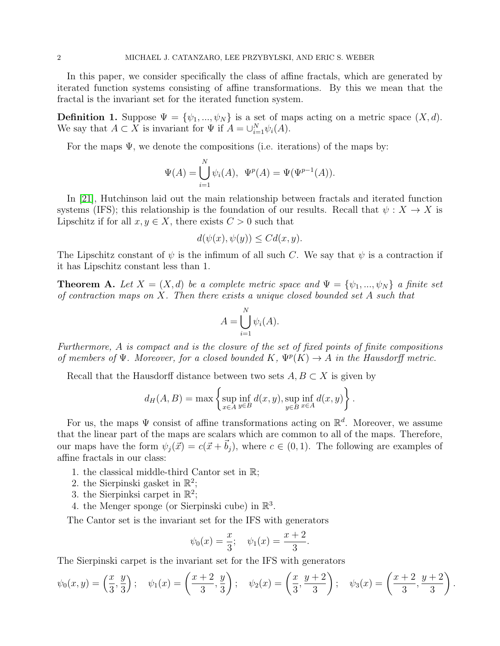In this paper, we consider specifically the class of affine fractals, which are generated by iterated function systems consisting of affine transformations. By this we mean that the fractal is the invariant set for the iterated function system.

**Definition 1.** Suppose  $\Psi = {\psi_1, ..., \psi_N}$  is a set of maps acting on a metric space  $(X, d)$ . We say that  $A \subset X$  is invariant for  $\Psi$  if  $A = \bigcup_{i=1}^{N} \psi_i(A)$ .

For the maps  $\Psi$ , we denote the compositions (i.e. iterations) of the maps by:

$$
\Psi(A) = \bigcup_{i=1}^{N} \psi_i(A), \ \Psi^p(A) = \Psi(\Psi^{p-1}(A)).
$$

In [\[21\]](#page-30-8), Hutchinson laid out the main relationship between fractals and iterated function systems (IFS); this relationship is the foundation of our results. Recall that  $\psi : X \to X$  is Lipschitz if for all  $x, y \in X$ , there exists  $C > 0$  such that

$$
d(\psi(x), \psi(y)) \leq C d(x, y).
$$

The Lipschitz constant of  $\psi$  is the infimum of all such C. We say that  $\psi$  is a contraction if it has Lipschitz constant less than 1.

<span id="page-1-0"></span>**Theorem A.** Let  $X = (X, d)$  be a complete metric space and  $\Psi = {\psi_1, ..., \psi_N}$  a finite set of contraction maps on  $X$ . Then there exists a unique closed bounded set  $A$  such that

$$
A = \bigcup_{i=1}^{N} \psi_i(A).
$$

Furthermore, A is compact and is the closure of the set of fixed points of finite compositions of members of  $\Psi$ . Moreover, for a closed bounded K,  $\Psi^p(K) \to A$  in the Hausdorff metric.

Recall that the Hausdorff distance between two sets  $A, B \subset X$  is given by

$$
d_H(A, B) = \max \left\{ \sup_{x \in A} \inf_{y \in B} d(x, y), \sup_{y \in B} \inf_{x \in A} d(x, y) \right\}.
$$

For us, the maps  $\Psi$  consist of affine transformations acting on  $\mathbb{R}^d$ . Moreover, we assume that the linear part of the maps are scalars which are common to all of the maps. Therefore, our maps have the form  $\psi_i(\vec{x}) = c(\vec{x} + \vec{b}_i)$ , where  $c \in (0, 1)$ . The following are examples of affine fractals in our class:

- 1. the classical middle-third Cantor set in R;
- 2. the Sierpinski gasket in  $\mathbb{R}^2$ ;
- 3. the Sierpinksi carpet in  $\mathbb{R}^2$ ;
- 4. the Menger sponge (or Sierpinski cube) in  $\mathbb{R}^3$ .

The Cantor set is the invariant set for the IFS with generators

$$
\psi_0(x) = \frac{x}{3}; \quad \psi_1(x) = \frac{x+2}{3}.
$$

The Sierpinski carpet is the invariant set for the IFS with generators

$$
\psi_0(x, y) = \left(\frac{x}{3}, \frac{y}{3}\right); \quad \psi_1(x) = \left(\frac{x+2}{3}, \frac{y}{3}\right); \quad \psi_2(x) = \left(\frac{x}{3}, \frac{y+2}{3}\right); \quad \psi_3(x) = \left(\frac{x+2}{3}, \frac{y+2}{3}\right).
$$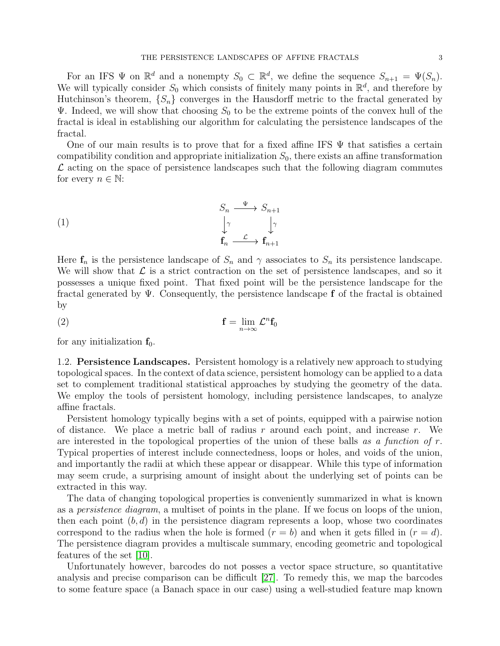For an IFS  $\Psi$  on  $\mathbb{R}^d$  and a nonempty  $S_0 \subset \mathbb{R}^d$ , we define the sequence  $S_{n+1} = \Psi(S_n)$ . We will typically consider  $S_0$  which consists of finitely many points in  $\mathbb{R}^d$ , and therefore by Hutchinson's theorem,  $\{S_n\}$  converges in the Hausdorff metric to the fractal generated by  $\Psi$ . Indeed, we will show that choosing  $S_0$  to be the extreme points of the convex hull of the fractal is ideal in establishing our algorithm for calculating the persistence landscapes of the fractal.

One of our main results is to prove that for a fixed affine IFS  $\Psi$  that satisfies a certain compatibility condition and appropriate initialization  $S_0$ , there exists an affine transformation  $\mathcal L$  acting on the space of persistence landscapes such that the following diagram commutes for every  $n \in \mathbb{N}$ :

<span id="page-2-0"></span>(1)  
\n
$$
\begin{array}{ccc}\n & S_n & \xrightarrow{\Psi} & S_{n+1} \\
& \downarrow^{\gamma} & & \downarrow^{\gamma} \\
& \mathbf{f}_n & \xrightarrow{\mathcal{L}} & \mathbf{f}_{n+1}\n\end{array}
$$

Here  $f_n$  is the persistence landscape of  $S_n$  and  $\gamma$  associates to  $S_n$  its persistence landscape. We will show that  $\mathcal L$  is a strict contraction on the set of persistence landscapes, and so it possesses a unique fixed point. That fixed point will be the persistence landscape for the fractal generated by  $\Psi$ . Consequently, the persistence landscape f of the fractal is obtained by

$$
\mathbf{f} = \lim_{n \to \infty} \mathcal{L}^n \mathbf{f}_0
$$

for any initialization  $f_0$ .

1.2. Persistence Landscapes. Persistent homology is a relatively new approach to studying topological spaces. In the context of data science, persistent homology can be applied to a data set to complement traditional statistical approaches by studying the geometry of the data. We employ the tools of persistent homology, including persistence landscapes, to analyze affine fractals.

Persistent homology typically begins with a set of points, equipped with a pairwise notion of distance. We place a metric ball of radius  $r$  around each point, and increase  $r$ . We are interested in the topological properties of the union of these balls as a function of  $r$ . Typical properties of interest include connectedness, loops or holes, and voids of the union, and importantly the radii at which these appear or disappear. While this type of information may seem crude, a surprising amount of insight about the underlying set of points can be extracted in this way.

The data of changing topological properties is conveniently summarized in what is known as a persistence diagram, a multiset of points in the plane. If we focus on loops of the union, then each point  $(b, d)$  in the persistence diagram represents a loop, whose two coordinates correspond to the radius when the hole is formed  $(r = b)$  and when it gets filled in  $(r = d)$ . The persistence diagram provides a multiscale summary, encoding geometric and topological features of the set [\[10\]](#page-30-9).

Unfortunately however, barcodes do not posses a vector space structure, so quantitative analysis and precise comparison can be difficult [\[27\]](#page-30-10). To remedy this, we map the barcodes to some feature space (a Banach space in our case) using a well-studied feature map known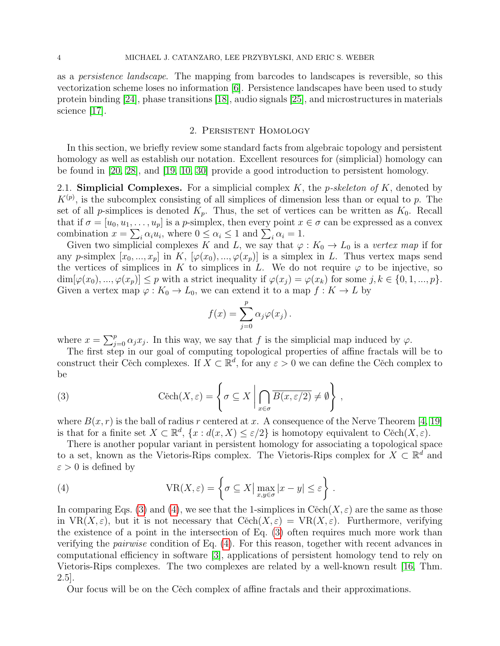as a persistence landscape. The mapping from barcodes to landscapes is reversible, so this vectorization scheme loses no information [\[6\]](#page-30-0). Persistence landscapes have been used to study protein binding [\[24\]](#page-30-11), phase transitions [\[18\]](#page-30-12), audio signals [\[25\]](#page-30-13), and microstructures in materials science [\[17\]](#page-30-14).

### 2. Persistent Homology

In this section, we briefly review some standard facts from algebraic topology and persistent homology as well as establish our notation. Excellent resources for (simplicial) homology can be found in [\[20,](#page-30-15) [28\]](#page-30-16), and [\[19,](#page-30-17) [10,](#page-30-9) [30\]](#page-31-7) provide a good introduction to persistent homology.

2.1. Simplicial Complexes. For a simplicial complex  $K$ , the *p-skeleton of*  $K$ , denoted by  $K^{(p)}$ , is the subcomplex consisting of all simplices of dimension less than or equal to p. The set of all p-simplices is denoted  $K_p$ . Thus, the set of vertices can be written as  $K_0$ . Recall that if  $\sigma = [u_0, u_1, \dots, u_p]$  is a p-simplex, then every point  $x \in \sigma$  can be expressed as a convex combination  $x = \sum_i \alpha_i u_i$ , where  $0 \le \alpha_i \le 1$  and  $\sum_i \alpha_i = 1$ .

Given two simplicial complexes K and L, we say that  $\varphi: K_0 \to L_0$  is a vertex map if for any p-simplex  $[x_0, ..., x_p]$  in K,  $[\varphi(x_0), ..., \varphi(x_p)]$  is a simplex in L. Thus vertex maps send the vertices of simplices in K to simplices in L. We do not require  $\varphi$  to be injective, so  $\dim[\varphi(x_0),...,\varphi(x_p)] \leq p$  with a strict inequality if  $\varphi(x_i) = \varphi(x_k)$  for some  $j, k \in \{0,1,...,p\}$ . Given a vertex map  $\varphi: K_0 \to L_0$ , we can extend it to a map  $f: K \to L$  by

$$
f(x) = \sum_{j=0}^{p} \alpha_j \varphi(x_j).
$$

where  $x = \sum_{j=0}^{p} \alpha_j x_j$ . In this way, we say that f is the simplicial map induced by  $\varphi$ .

The first step in our goal of computing topological properties of affine fractals will be to construct their Cěch complexes. If  $X \subset \mathbb{R}^d$ , for any  $\varepsilon > 0$  we can define the Cěch complex to be

<span id="page-3-0"></span>(3) 
$$
\text{Cěch}(X,\varepsilon) = \left\{ \sigma \subseteq X \mid \bigcap_{x \in \sigma} \overline{B(x,\varepsilon/2)} \neq \emptyset \right\},
$$

where  $B(x, r)$  is the ball of radius r centered at x. A consequence of the Nerve Theorem [\[4,](#page-30-18) [19\]](#page-30-17) is that for a finite set  $X \subset \mathbb{R}^d$ ,  $\{x : d(x,X) \leq \varepsilon/2\}$  is homotopy equivalent to Cěch $(X,\varepsilon)$ .

There is another popular variant in persistent homology for associating a topological space to a set, known as the Vietoris-Rips complex. The Vietoris-Rips complex for  $X \subset \mathbb{R}^d$  and  $\varepsilon > 0$  is defined by

<span id="page-3-1"></span>(4) 
$$
VR(X,\varepsilon) = \left\{ \sigma \subseteq X \, | \, \max_{x,y \in \sigma} |x-y| \leq \varepsilon \right\}.
$$

In comparing Eqs. [\(3\)](#page-3-0) and [\(4\)](#page-3-1), we see that the 1-simplices in Cech( $X, \varepsilon$ ) are the same as those in  $VR(X, \varepsilon)$ , but it is not necessary that  $C\check{e}ch(X, \varepsilon) = VR(X, \varepsilon)$ . Furthermore, verifying the existence of a point in the intersection of Eq. [\(3\)](#page-3-0) often requires much more work than verifying the pairwise condition of Eq. [\(4\)](#page-3-1). For this reason, together with recent advances in computational efficiency in software [\[3\]](#page-29-0), applications of persistent homology tend to rely on Vietoris-Rips complexes. The two complexes are related by a well-known result [\[16,](#page-30-19) Thm. 2.5].

Our focus will be on the Cěch complex of affine fractals and their approximations.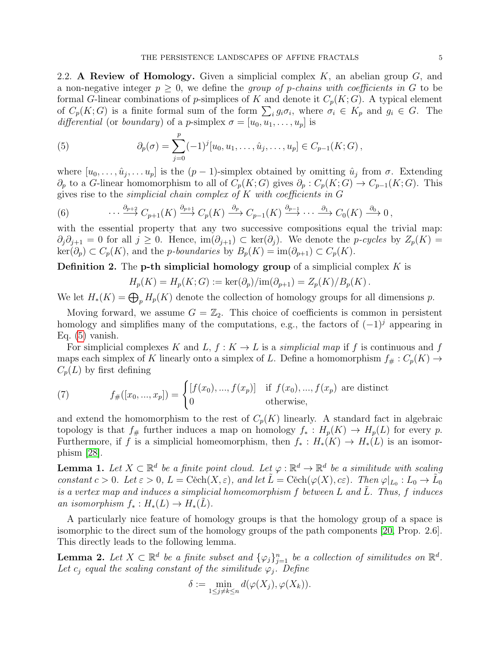2.2. A Review of Homology. Given a simplicial complex  $K$ , an abelian group  $G$ , and a non-negative integer  $p \geq 0$ , we define the group of p-chains with coefficients in G to be formal G-linear combinations of p-simplices of K and denote it  $C_p(K; G)$ . A typical element of  $C_p(K;G)$  is a finite formal sum of the form  $\sum_i g_i \sigma_i$ , where  $\sigma_i \in K_p$  and  $g_i \in G$ . The differential (or boundary) of a p-simplex  $\sigma = [u_0, u_1, \dots, u_p]$  is

<span id="page-4-0"></span>(5) 
$$
\partial_p(\sigma) = \sum_{j=0}^p (-1)^j [u_0, u_1, \dots, \hat{u}_j, \dots, u_p] \in C_{p-1}(K; G),
$$

where  $[u_0, \ldots, \hat{u}_j, \ldots, u_p]$  is the  $(p-1)$ -simplex obtained by omitting  $\hat{u}_j$  from  $\sigma$ . Extending  $\partial_p$  to a G-linear homomorphism to all of  $C_p(K;G)$  gives  $\partial_p : C_p(K;G) \to C_{p-1}(K;G)$ . This gives rise to the simplicial chain complex of  $K$  with coefficients in  $G$ 

(6) 
$$
\cdots \xrightarrow{\partial_{p+2}} C_{p+1}(K) \xrightarrow{\partial_{p+1}} C_p(K) \xrightarrow{\partial_p} C_{p-1}(K) \xrightarrow{\partial_{p-1}} \cdots \xrightarrow{\partial_1} C_0(K) \xrightarrow{\partial_0} 0,
$$

with the essential property that any two successive compositions equal the trivial map:  $\partial_j \partial_{j+1} = 0$  for all  $j \geq 0$ . Hence,  $\text{im}(\partial_{j+1}) \subset \text{ker}(\partial_j)$ . We denote the *p-cycles* by  $Z_p(K) =$  $\ker(\partial_p) \subset C_p(K)$ , and the *p-boundaries* by  $B_p(K) = \text{im}(\partial_{p+1}) \subset C_p(K)$ .

**Definition 2.** The **p-th simplicial homology group** of a simplicial complex  $K$  is

$$
H_p(K) = H_p(K; G) := \ker(\partial_p)/\mathrm{im}(\partial_{p+1}) = Z_p(K)/B_p(K).
$$

We let  $H_*(K) = \bigoplus_p H_p(K)$  denote the collection of homology groups for all dimensions p.

Moving forward, we assume  $G = \mathbb{Z}_2$ . This choice of coefficients is common in persistent homology and simplifies many of the computations, e.g., the factors of  $(-1)^j$  appearing in Eq. [\(5\)](#page-4-0) vanish.

For simplicial complexes K and L,  $f: K \to L$  is a simplicial map if f is continuous and f maps each simplex of K linearly onto a simplex of L. Define a homomorphism  $f_{\#}: C_p(K) \to$  $C_p(L)$  by first defining

(7) 
$$
f_{\#}([x_0, ..., x_p]) = \begin{cases} [f(x_0), ..., f(x_p)] & \text{if } f(x_0), ..., f(x_p) \text{ are distinct} \\ 0 & \text{otherwise,} \end{cases}
$$

and extend the homomorphism to the rest of  $C_p(K)$  linearly. A standard fact in algebraic topology is that  $f_{#}$  further induces a map on homology  $f_{*}: H_p(K) \to H_p(L)$  for every p. Furthermore, if f is a simplicial homeomorphism, then  $f_* : H_*(K) \to H_*(L)$  is an isomorphism [\[28\]](#page-30-16).

<span id="page-4-2"></span>**Lemma 1.** Let  $X \subset \mathbb{R}^d$  be a finite point cloud. Let  $\varphi : \mathbb{R}^d \to \mathbb{R}^d$  be a similitude with scaling constant  $c > 0$ . Let  $\varepsilon > 0$ ,  $L = \text{Cěch}(X, \varepsilon)$ , and let  $\tilde{L} = \text{Cěch}(\varphi(X), c\varepsilon)$ . Then  $\varphi|_{L_0} : L_0 \to \tilde{L_0}$ is a vertex map and induces a simplicial homeomorphism  $f$  between  $L$  and  $L$ . Thus,  $f$  induces an isomorphism  $f_* : H_*(L) \to H_*(L)$ .

A particularly nice feature of homology groups is that the homology group of a space is isomorphic to the direct sum of the homology groups of the path components [\[20,](#page-30-15) Prop. 2.6]. This directly leads to the following lemma.

<span id="page-4-1"></span>**Lemma 2.** Let  $X \subset \mathbb{R}^d$  be a finite subset and  $\{\varphi_j\}_{j=1}^n$  be a collection of similitudes on  $\mathbb{R}^d$ . Let  $c_i$  equal the scaling constant of the similitude  $\varphi_i$ . Define

$$
\delta := \min_{1 \le j \ne k \le n} d(\varphi(X_j), \varphi(X_k)).
$$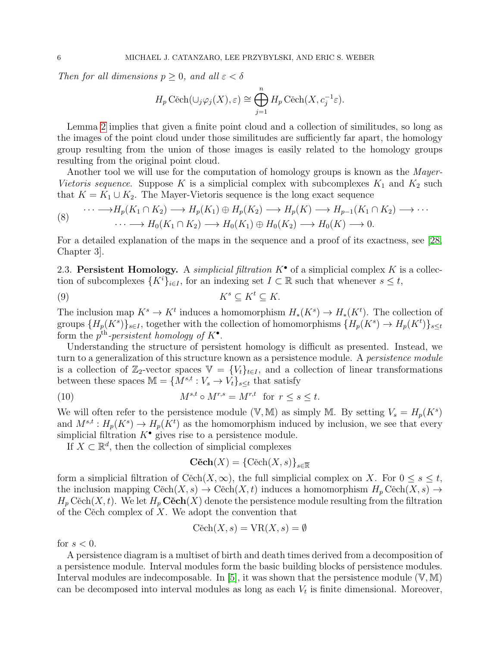Then for all dimensions  $p \geq 0$ , and all  $\varepsilon < \delta$ 

$$
H_p \text{Cěch}(\cup_j \varphi_j(X), \varepsilon) \cong \bigoplus_{j=1}^n H_p \text{Cěch}(X, c_j^{-1} \varepsilon).
$$

Lemma [2](#page-4-1) implies that given a finite point cloud and a collection of similitudes, so long as the images of the point cloud under those similitudes are sufficiently far apart, the homology group resulting from the union of those images is easily related to the homology groups resulting from the original point cloud.

Another tool we will use for the computation of homology groups is known as the *Mayer*-Vietoris sequence. Suppose K is a simplicial complex with subcomplexes  $K_1$  and  $K_2$  such that  $K = K_1 \cup K_2$ . The Mayer-Vietoris sequence is the long exact sequence

(8) 
$$
\cdots \longrightarrow H_p(K_1 \cap K_2) \longrightarrow H_p(K_1) \oplus H_p(K_2) \longrightarrow H_p(K) \longrightarrow H_{p-1}(K_1 \cap K_2) \longrightarrow \cdots
$$

$$
\cdots \longrightarrow H_0(K_1 \cap K_2) \longrightarrow H_0(K_1) \oplus H_0(K_2) \longrightarrow H_0(K) \longrightarrow 0.
$$

For a detailed explanation of the maps in the sequence and a proof of its exactness, see [\[28,](#page-30-16) Chapter 3].

2.3. Persistent Homology. A simplicial filtration  $K^{\bullet}$  of a simplicial complex K is a collection of subcomplexes  $\{K^i\}_{i\in I}$ , for an indexing set  $I\subset \mathbb{R}$  such that whenever  $s\leq t$ ,

$$
(9) \t Ks \subseteq Kt \subseteq K.
$$

The inclusion map  $K^s \to K^t$  induces a homomorphism  $H_*(K^s) \to H_*(K^t)$ . The collection of groups  ${H_p(K^s)}_{s \in I}$ , together with the collection of homomorphisms  ${H_p(K^s) \to H_p(K^t)}_{s \leq t}$ form the  $p^{\text{th}}$ -persistent homology of  $K^{\bullet}$ .

Understanding the structure of persistent homology is difficult as presented. Instead, we turn to a generalization of this structure known as a persistence module. A *persistence module* is a collection of  $\mathbb{Z}_2$ -vector spaces  $\mathbb{V} = \{V_t\}_{t \in I}$ , and a collection of linear transformations between these spaces  $\mathbb{M} = \{M^{s,t} : V_s \to V_t\}_{s \leq t}$  that satisfy

(10) 
$$
M^{s,t} \circ M^{r,s} = M^{r,t} \text{ for } r \leq s \leq t.
$$

We will often refer to the persistence module (V, M) as simply M. By setting  $V_s = H_p(K^s)$ and  $M^{s,t}: H_p(K^s) \to H_p(K^t)$  as the homomorphism induced by inclusion, we see that every simplicial filtration  $K^{\bullet}$  gives rise to a persistence module.

If  $X \subset \mathbb{R}^d$ , then the collection of simplicial complexes

$$
\mathbf{C\check{e}ch}(X) = \{\mathrm{C\check{e}ch}(X,s)\}_{s\in\overline{\mathbb{R}}}
$$

form a simplicial filtration of Cěch $(X, \infty)$ , the full simplicial complex on X. For  $0 \leq s \leq t$ , the inclusion mapping  $C\check{e}ch(X, s) \to C\check{e}ch(X, t)$  induces a homomorphism  $H_p C\check{e}ch(X, s) \to$  $H_p \text{Cěch}(X, t)$ . We let  $H_p \text{Cěch}(X)$  denote the persistence module resulting from the filtration of the Cěch complex of  $X$ . We adopt the convention that

$$
C\check{e}ch(X, s) = VR(X, s) = \emptyset
$$

for  $s < 0$ .

A persistence diagram is a multiset of birth and death times derived from a decomposition of a persistence module. Interval modules form the basic building blocks of persistence modules. Interval modules are indecomposable. In [\[5\]](#page-30-20), it was shown that the persistence module  $(V, M)$ can be decomposed into interval modules as long as each  $V_t$  is finite dimensional. Moreover,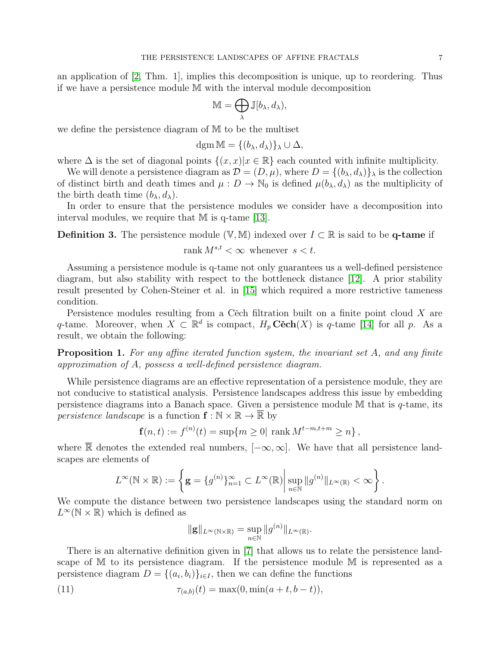an application of [\[2,](#page-29-1) Thm. 1], implies this decomposition is unique, up to reordering. Thus if we have a persistence module M with the interval module decomposition

$$
\mathbb{M}=\bigoplus_{\lambda}\mathbb{J}[b_{\lambda},d_{\lambda}),
$$

we define the persistence diagram of M to be the multiset

$$
\operatorname{dgm} \mathbb{M} = \{ (b_{\lambda}, d_{\lambda}) \}_{\lambda} \cup \Delta,
$$

where  $\Delta$  is the set of diagonal points  $\{(x, x)|x \in \mathbb{R}\}\$ each counted with infinite multiplicity.

We will denote a persistence diagram as  $\mathcal{D} = (D, \mu)$ , where  $D = \{(b_\lambda, d_\lambda)\}_\lambda$  is the collection of distinct birth and death times and  $\mu : D \to \mathbb{N}_0$  is defined  $\mu(b_\lambda, d_\lambda)$  as the multiplicity of the birth death time  $(b_{\lambda}, d_{\lambda})$ .

In order to ensure that the persistence modules we consider have a decomposition into interval modules, we require that M is q-tame [\[13\]](#page-30-21).

**Definition 3.** The persistence module (V, M) indexed over  $I \subset \mathbb{R}$  is said to be **q-tame** if

rank  $M^{s,t} < \infty$  whenever  $s < t$ .

Assuming a persistence module is q-tame not only guarantees us a well-defined persistence diagram, but also stability with respect to the bottleneck distance [\[12\]](#page-30-22). A prior stability result presented by Cohen-Steiner et al. in [\[15\]](#page-30-23) which required a more restrictive tameness condition.

Persistence modules resulting from a C $\check{e}$ ch filtration built on a finite point cloud X are q-tame. Moreover, when  $X \subset \mathbb{R}^d$  is compact,  $H_p \mathbf{C\check{e}ch}(X)$  is q-tame [\[14\]](#page-30-24) for all p. As a result, we obtain the following:

**Proposition 1.** For any affine iterated function system, the invariant set A, and any finite approximation of A, possess a well-defined persistence diagram.

While persistence diagrams are an effective representation of a persistence module, they are not conducive to statistical analysis. Persistence landscapes address this issue by embedding persistence diagrams into a Banach space. Given a persistence module M that is q-tame, its *persistence landscape* is a function  $f : \mathbb{N} \times \mathbb{R} \to \overline{\mathbb{R}}$  by

$$
\mathbf{f}(n,t) := f^{(n)}(t) = \sup\{m \ge 0 \mid \text{rank } M^{t-m,t+m} \ge n\},\,
$$

where R denotes the extended real numbers,  $[-\infty, \infty]$ . We have that all persistence landscapes are elements of

$$
L^{\infty}(\mathbb{N} \times \mathbb{R}) := \left\{ \mathbf{g} = \{g^{(n)}\}_{n=1}^{\infty} \subset L^{\infty}(\mathbb{R}) \, \middle| \, \sup_{n \in \mathbb{N}} \|g^{(n)}\|_{L^{\infty}(\mathbb{R})} < \infty \right\}.
$$

We compute the distance between two persistence landscapes using the standard norm on  $L^{\infty}(\mathbb{N} \times \mathbb{R})$  which is defined as

<span id="page-6-0"></span>
$$
\|\mathbf{g}\|_{L^{\infty}(\mathbb{N}\times\mathbb{R})}=\sup_{n\in\mathbb{N}}\|g^{(n)}\|_{L^{\infty}(\mathbb{R})}.
$$

There is an alternative definition given in [\[7\]](#page-30-25) that allows us to relate the persistence landscape of M to its persistence diagram. If the persistence module M is represented as a persistence diagram  $D = \{(a_i, b_i)\}_{i \in I}$ , then we can define the functions

(11) 
$$
\tau_{(a,b)}(t) = \max(0, \min(a+t, b-t)),
$$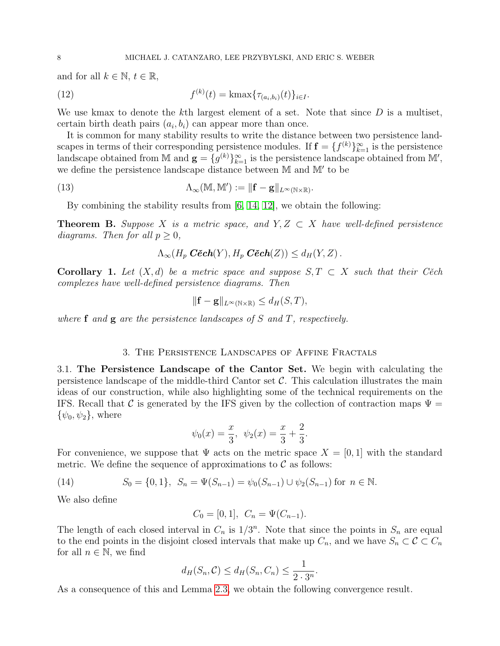and for all  $k \in \mathbb{N}, t \in \mathbb{R}$ ,

<span id="page-7-2"></span>(12) 
$$
f^{(k)}(t) = \text{kmax}\{\tau_{(a_i,b_i)}(t)\}_{i \in I}.
$$

We use kmax to denote the kth largest element of a set. Note that since  $D$  is a multiset, certain birth death pairs  $(a_i, b_i)$  can appear more than once.

It is common for many stability results to write the distance between two persistence landscapes in terms of their corresponding persistence modules. If  $\mathbf{f} = \{f^{(k)}\}_{k=1}^{\infty}$  is the persistence landscape obtained from M and  $\mathbf{g} = \{g^{(k)}\}_{k=1}^{\infty}$  is the persistence landscape obtained from M', we define the persistence landscape distance between  $M$  and  $M'$  to be

(13) 
$$
\Lambda_{\infty}(\mathbb{M}, \mathbb{M}') := \|\mathbf{f} - \mathbf{g}\|_{L^{\infty}(\mathbb{N} \times \mathbb{R})}.
$$

By combining the stability results from  $[6, 14, 12]$  $[6, 14, 12]$  $[6, 14, 12]$ , we obtain the following:

<span id="page-7-4"></span>**Theorem B.** Suppose X is a metric space, and  $Y, Z \subset X$  have well-defined persistence diagrams. Then for all  $p \geq 0$ ,

$$
\Lambda_{\infty}(H_p \ \textbf{C\check{e}ch}(Y), H_p \ \textbf{C\check{e}ch}(Z)) \leq d_H(Y, Z) .
$$

<span id="page-7-0"></span>**Corollary 1.** Let  $(X, d)$  be a metric space and suppose  $S, T \subset X$  such that their Cech complexes have well-defined persistence diagrams. Then

$$
\|\mathbf{f} - \mathbf{g}\|_{L^{\infty}(\mathbb{N} \times \mathbb{R})} \le d_H(S, T),
$$

where  $f$  and  $g$  are the persistence landscapes of S and T, respectively.

# 3. The Persistence Landscapes of Affine Fractals

<span id="page-7-3"></span>3.1. The Persistence Landscape of the Cantor Set. We begin with calculating the persistence landscape of the middle-third Cantor set  $\mathcal{C}$ . This calculation illustrates the main ideas of our construction, while also highlighting some of the technical requirements on the IFS. Recall that C is generated by the IFS given by the collection of contraction maps  $\Psi =$  $\{\psi_0, \psi_2\}$ , where

$$
\psi_0(x) = \frac{x}{3}, \ \psi_2(x) = \frac{x}{3} + \frac{2}{3}.
$$

For convenience, we suppose that  $\Psi$  acts on the metric space  $X = [0, 1]$  with the standard metric. We define the sequence of approximations to  $\mathcal C$  as follows:

<span id="page-7-1"></span>(14) 
$$
S_0 = \{0, 1\}, S_n = \Psi(S_{n-1}) = \psi_0(S_{n-1}) \cup \psi_2(S_{n-1}) \text{ for } n \in \mathbb{N}.
$$

We also define

$$
C_0 = [0, 1], \quad C_n = \Psi(C_{n-1}).
$$

The length of each closed interval in  $C_n$  is  $1/3^n$ . Note that since the points in  $S_n$  are equal to the end points in the disjoint closed intervals that make up  $C_n$ , and we have  $S_n \subset \mathcal{C} \subset C_n$ for all  $n \in \mathbb{N}$ , we find

$$
d_H(S_n, \mathcal{C}) \le d_H(S_n, C_n) \le \frac{1}{2 \cdot 3^n}.
$$

As a consequence of this and Lemma [2.3,](#page-7-0) we obtain the following convergence result.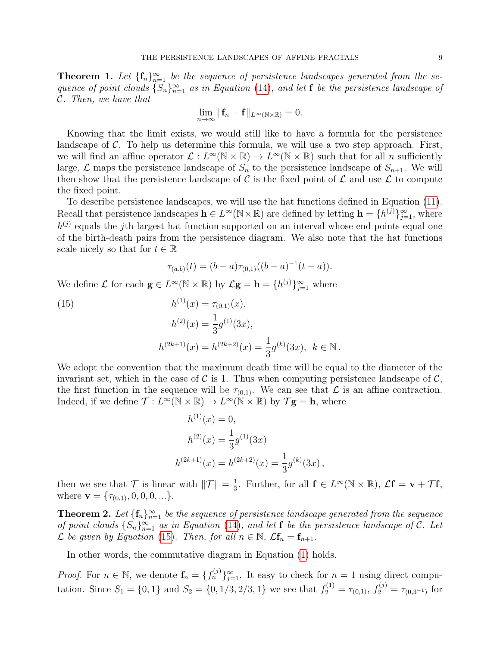**Theorem 1.** Let  $\{f_n\}_{n=1}^{\infty}$  be the sequence of persistence landscapes generated from the sequence of point clouds  $\{S_n\}_{n=1}^{\infty}$  as in Equation [\(14\)](#page-7-1), and let f be the persistence landscape of C. Then, we have that

$$
\lim_{n\to\infty}\|\mathbf{f}_n-\mathbf{f}\|_{L^{\infty}(\mathbb{N}\times\mathbb{R})}=0.
$$

Knowing that the limit exists, we would still like to have a formula for the persistence landscape of  $\mathcal C$ . To help us determine this formula, we will use a two step approach. First, we will find an affine operator  $\mathcal{L}: L^{\infty}(\mathbb{N} \times \mathbb{R}) \to L^{\infty}(\mathbb{N} \times \mathbb{R})$  such that for all *n* sufficiently large,  $\mathcal L$  maps the persistence landscape of  $S_n$  to the persistence landscape of  $S_{n+1}$ . We will then show that the persistence landscape of C is the fixed point of  $\mathcal L$  and use  $\mathcal L$  to compute the fixed point.

To describe persistence landscapes, we will use the hat functions defined in Equation [\(11\)](#page-6-0). Recall that persistence landscapes  $\mathbf{h} \in L^{\infty}(\mathbb{N} \times \mathbb{R})$  are defined by letting  $\mathbf{h} = \{h^{(j)}\}_{j=1}^{\infty}$ , where  $h^{(j)}$  equals the j<sup>th</sup> largest hat function supported on an interval whose end points equal one of the birth-death pairs from the persistence diagram. We also note that the hat functions scale nicely so that for  $t \in \mathbb{R}$ 

$$
\tau_{(a,b)}(t) = (b-a)\tau_{(0,1)}((b-a)^{-1}(t-a)).
$$

We define  $\mathcal L$  for each  $\mathbf g \in L^{\infty}(\mathbb N \times \mathbb R)$  by  $\mathcal L \mathbf g = \mathbf h = \{h^{(j)}\}_{j=1}^{\infty}$  where

<span id="page-8-0"></span>(15) 
$$
h^{(1)}(x) = \tau_{(0,1)}(x),
$$

$$
h^{(2)}(x) = \frac{1}{3}g^{(1)}(3x),
$$

$$
h^{(2k+1)}(x) = h^{(2k+2)}(x) = \frac{1}{3}g^{(k)}(3x), \quad k \in \mathbb{N}.
$$

We adopt the convention that the maximum death time will be equal to the diameter of the invariant set, which in the case of  $\mathcal C$  is 1. Thus when computing persistence landscape of  $\mathcal C$ , the first function in the sequence will be  $\tau_{(0,1)}$ . We can see that  $\mathcal L$  is an affine contraction. Indeed, if we define  $\mathcal{T}: L^{\infty}(\mathbb{N} \times \mathbb{R}) \to L^{\infty}(\mathbb{N} \times \mathbb{R})$  by  $\mathcal{T} \mathbf{g} = \mathbf{h}$ , where

$$
h^{(1)}(x) = 0,
$$
  
\n
$$
h^{(2)}(x) = \frac{1}{3}g^{(1)}(3x)
$$
  
\n
$$
h^{(2k+1)}(x) = h^{(2k+2)}(x) = \frac{1}{3}g^{(k)}(3x),
$$

then we see that  $\mathcal T$  is linear with  $\|\mathcal T\| = \frac{1}{3}$  $\frac{1}{3}$ . Further, for all  $f \in L^{\infty}(\mathbb{N} \times \mathbb{R})$ ,  $\mathcal{L}f = \mathbf{v} + \mathcal{T}f$ , where  $\mathbf{v} = {\tau_{(0,1)}, 0, 0, 0, ...}.$ 

<span id="page-8-1"></span>**Theorem 2.** Let  $\{\mathbf{f}_n\}_{n=1}^{\infty}$  be the sequence of persistence landscape generated from the sequence of point clouds  $\{S_n\}_{n=1}^{\infty}$  as in Equation [\(14\)](#page-7-1), and let f be the persistence landscape of C. Let  $\mathcal L$  be given by Equation [\(15\)](#page-8-0). Then, for all  $n \in \mathbb N$ ,  $\mathcal L$ **f**<sub>n</sub> = **f**<sub>n+1</sub>.

In other words, the commutative diagram in Equation [\(1\)](#page-2-0) holds.

*Proof.* For  $n \in \mathbb{N}$ , we denote  $\mathbf{f}_n = \{f_n^{(j)}\}_{j=1}^{\infty}$ . It easy to check for  $n = 1$  using direct computation. Since  $S_1 = \{0, 1\}$  and  $S_2 = \{0, 1/3, 2/3, 1\}$  we see that  $f_2^{(1)} = \tau_{(0,1)}$ ,  $f_2^{(j)} = \tau_{(0,3^{-1})}$  for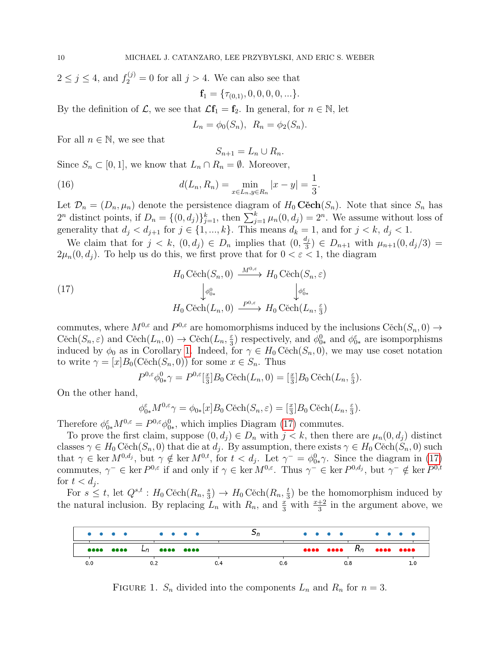$2 \leq j \leq 4$ , and  $f_2^{(j)} = 0$  for all  $j > 4$ . We can also see that  $f_1 = \{\tau_{(0,1)}, 0, 0, 0, 0, ...\}.$ 

By the definition of  $\mathcal{L}$ , we see that  $\mathcal{L}f_1 = f_2$ . In general, for  $n \in \mathbb{N}$ , let

$$
L_n = \phi_0(S_n), \ R_n = \phi_2(S_n).
$$

For all  $n \in \mathbb{N}$ , we see that

<span id="page-9-1"></span>
$$
S_{n+1} = L_n \cup R_n.
$$

Since  $S_n \subset [0,1]$ , we know that  $L_n \cap R_n = \emptyset$ . Moreover,

(16) 
$$
d(L_n, R_n) = \min_{x \in L_n, y \in R_n} |x - y| = \frac{1}{3}.
$$

Let  $\mathcal{D}_n = (D_n, \mu_n)$  denote the persistence diagram of  $H_0 \mathbf{Cech}(S_n)$ . Note that since  $S_n$  has  $2^n$  distinct points, if  $D_n = \{(0, d_j)\}_{j=1}^k$ , then  $\sum_{j=1}^k \mu_n(0, d_j) = 2^n$ . We assume without loss of generality that  $d_j < d_{j+1}$  for  $j \in \{1, ..., k\}$ . This means  $d_k = 1$ , and for  $j < k$ ,  $d_j < 1$ .

We claim that for  $j < k$ ,  $(0, d_j) \in D_n$  implies that  $(0, \frac{d_j}{3})$  $(\frac{i_j}{3}) \in D_{n+1}$  with  $\mu_{n+1}(0, d_j/3) =$  $2\mu_n(0, d_i)$ . To help us do this, we first prove that for  $0 < \varepsilon < 1$ , the diagram

(17)  
\n
$$
H_0 \text{ Cěch}(S_n, 0) \xrightarrow{M^{0,\varepsilon}} H_0 \text{ Cěch}(S_n, \varepsilon)
$$
\n
$$
\downarrow \phi_{0*}^0 \qquad \qquad \downarrow \phi_{0*}^{\varepsilon}
$$
\n
$$
H_0 \text{ Cěch}(L_n, 0) \xrightarrow{P^{0,\varepsilon}} H_0 \text{ Cěch}(L_n, \frac{\varepsilon}{3})
$$

commutes, where  $M^{0,\varepsilon}$  and  $P^{0,\varepsilon}$  are homomorphisms induced by the inclusions  $\mathrm{C\check{e}ch}(S_n,0) \to$  $C\check{e}ch(S_n, \varepsilon)$  and  $C\check{e}ch(L_n, 0) \to C\check{e}ch(L_n, \frac{\varepsilon}{3})$  $\frac{\varepsilon}{3}$ ) respectively, and  $\phi_{0*}^{\varepsilon}$  and  $\phi_{0*}^{\varepsilon}$  are isomporphisms induced by  $\phi_0$  as in Corollary [1.](#page-4-2) Indeed, for  $\gamma \in H_0$  Cěch $(S_n, 0)$ , we may use coset notation to write  $\gamma = [x]B_0(\text{Cěch}(S_n, 0))$  for some  $x \in S_n$ . Thus

<span id="page-9-0"></span>
$$
P^{0,\varepsilon}\phi_{0*}^0\gamma = P^{0,\varepsilon}[\tfrac{x}{3}]B_0 \operatorname{C\check{e}ch}(L_n,0) = [\tfrac{x}{3}]B_0 \operatorname{C\check{e}ch}(L_n,\tfrac{\varepsilon}{3}).
$$

On the other hand,

$$
\phi_{0*}^{\varepsilon}M^{0,\varepsilon}\gamma = \phi_{0*}[x]B_0 \widetilde{\mathrm{Cech}}(S_n,\varepsilon) = [\frac{x}{3}]B_0 \widetilde{\mathrm{Cech}}(L_n,\frac{\varepsilon}{3}).
$$

Therefore  $\phi_{0*}^{\varepsilon} M^{0,\varepsilon} = P^{0,\varepsilon} \phi_{0*}^0$ , which implies Diagram [\(17\)](#page-9-0) commutes.

To prove the first claim, suppose  $(0, d_j) \in D_n$  with  $j < k$ , then there are  $\mu_n(0, d_j)$  distinct classes  $\gamma \in H_0 \text{Cěch}(S_n, 0)$  that die at  $d_j$ . By assumption, there exists  $\gamma \in H_0 \text{Cěch}(S_n, 0)$  such that  $\gamma \in \ker M^{0,d_j}$ , but  $\gamma \notin \ker M^{0,t}$ , for  $t < d_j$ . Let  $\gamma^- = \phi_{0*}^0 \gamma$ . Since the diagram in [\(17\)](#page-9-0) commutes,  $\gamma^- \in \text{ker } P^{0,\varepsilon}$  if and only if  $\gamma \in \text{ker } M^{0,\varepsilon}$ . Thus  $\gamma^- \in \text{ker } P^{0,d_j}$ , but  $\gamma^- \notin \text{ker } P^{0,t}$ for  $t < d_j$ .

For  $s \leq t$ , let  $Q^{s,t}$ :  $H_0 \widetilde{\mathrm{Cech}}(R_n, \frac{s}{3})$  $(\frac{s}{3}) \rightarrow H_0 \widehat{\text{Cech}}(R_n, \frac{t}{3})$  $(\frac{t}{3})$  be the homomorphism induced by the natural inclusion. By replacing  $L_n$  with  $R_n$ , and  $\frac{x}{3}$  with  $\frac{x+2}{3}$  in the argument above, we



FIGURE 1.  $S_n$  divided into the components  $L_n$  and  $R_n$  for  $n=3$ .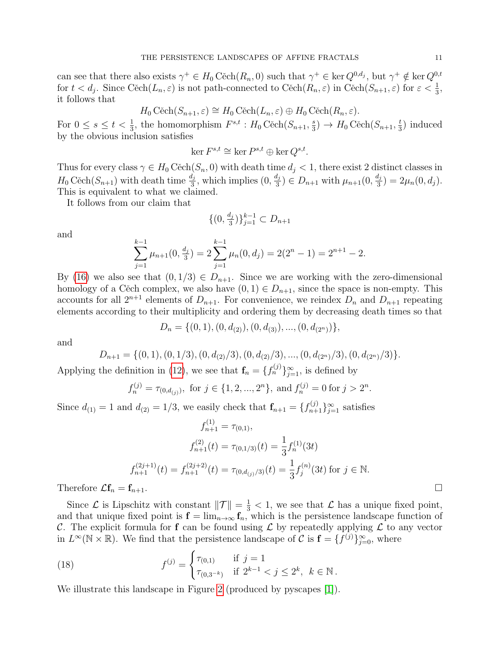can see that there also exists  $\gamma^+ \in H_0 \text{Cěch}(R_n, 0)$  such that  $\gamma^+ \in \text{ker }Q^{0,d_j}$ , but  $\gamma^+ \notin \text{ker }Q^{0,t}$ for  $t < d_j$ . Since Cěch $(L_n, \varepsilon)$  is not path-connected to Cěch $(R_n, \varepsilon)$  in Cěch $(S_{n+1}, \varepsilon)$  for  $\varepsilon < \frac{1}{3}$ , it follows that

$$
H_0 \text{Cěch}(S_{n+1}, \varepsilon) \cong H_0 \text{Cěch}(L_n, \varepsilon) \oplus H_0 \text{Cěch}(R_n, \varepsilon).
$$

For  $0 \leq s \leq t < \frac{1}{3}$ , the homomorphism  $F^{s,t} : H_0 \text{Cěch}(S_{n+1}, \frac{s}{3})$  $(\frac{s}{3}) \rightarrow H_0 \widetilde{\mathrm{Cech}}(S_{n+1}, \frac{t}{3})$  $(\frac{t}{3})$  induced by the obvious inclusion satisfies

$$
\ker F^{s,t} \cong \ker P^{s,t} \oplus \ker Q^{s,t}.
$$

Thus for every class  $\gamma \in H_0$  Cěch $(S_n, 0)$  with death time  $d_j < 1$ , there exist 2 distinct classes in  $H_0 \widetilde{\mathrm{Cech}}(S_{n+1})$  with death time  $\frac{d_j}{3}$ , which implies  $(0, \frac{d_j}{3})$  $(\frac{d_j}{3}) \in D_{n+1}$  with  $\mu_{n+1}(0, \frac{d_j}{3})$  $\frac{a_j}{3}$ ) = 2 $\mu_n(0, d_j)$ . This is equivalent to what we claimed.

It follows from our claim that

$$
\{(0, \frac{d_j}{3})\}_{j=1}^{k-1} \subset D_{n+1}
$$

and

$$
\sum_{j=1}^{k-1} \mu_{n+1}(0, \frac{d_j}{3}) = 2 \sum_{j=1}^{k-1} \mu_n(0, d_j) = 2(2^n - 1) = 2^{n+1} - 2.
$$

By [\(16\)](#page-9-1) we also see that  $(0, 1/3) \in D_{n+1}$ . Since we are working with the zero-dimensional homology of a Cěch complex, we also have  $(0, 1) \in D_{n+1}$ , since the space is non-empty. This accounts for all  $2^{n+1}$  elements of  $D_{n+1}$ . For convenience, we reindex  $D_n$  and  $D_{n+1}$  repeating elements according to their multiplicity and ordering them by decreasing death times so that

$$
D_n = \{(0,1), (0, d_{(2)}), (0, d_{(3)}), ..., (0, d_{(2^n)})\},\,
$$

and

$$
D_{n+1} = \{(0,1), (0,1/3), (0,d_{(2)}/3), (0,d_{(2)}/3), ..., (0,d_{(2^n)}/3), (0,d_{(2^n)}/3)\}.
$$

Applying the definition in [\(12\)](#page-7-2), we see that  $\mathbf{f}_n = \{f_n^{(j)}\}_{j=1}^{\infty}$ , is defined by

$$
f_n^{(j)} = \tau_{(0,d_{(j)})}
$$
, for  $j \in \{1, 2, ..., 2^n\}$ , and  $f_n^{(j)} = 0$  for  $j > 2^n$ .

Since  $d_{(1)} = 1$  and  $d_{(2)} = 1/3$ , we easily check that  $f_{n+1} = \{f_{n+1}^{(j)}\}_{j=1}^{\infty}$  satisfies

$$
f_{n+1}^{(1)} = \tau_{(0,1)},
$$
  
\n
$$
f_{n+1}^{(2)}(t) = \tau_{(0,1/3)}(t) = \frac{1}{3} f_n^{(1)}(3t)
$$
  
\n
$$
f_{n+1}^{(2j+1)}(t) = f_{n+1}^{(2j+2)}(t) = \tau_{(0,d_{(j)}/3)}(t) = \frac{1}{3} f_j^{(n)}(3t) \text{ for } j \in \mathbb{N}.
$$

Therefore  $\mathcal{L}\mathbf{f}_n = \mathbf{f}_{n+1}$ .

Since  $\mathcal L$  is Lipschitz with constant  $\|\mathcal T\| = \frac{1}{3} < 1$ , we see that  $\mathcal L$  has a unique fixed point, and that unique fixed point is  $f = \lim_{n\to\infty} f_n$ , which is the persistence landscape function of C. The explicit formula for f can be found using  $\mathcal L$  by repeatedly applying  $\mathcal L$  to any vector in  $L^{\infty}(\mathbb{N} \times \mathbb{R})$ . We find that the persistence landscape of C is  $\mathbf{f} = \{f^{(j)}\}_{j=0}^{\infty}$ , where

<span id="page-10-0"></span>(18) 
$$
f^{(j)} = \begin{cases} \tau_{(0,1)} & \text{if } j = 1 \\ \tau_{(0,3^{-k})} & \text{if } 2^{k-1} < j \le 2^k, \ k \in \mathbb{N}. \end{cases}
$$

We illustrate this landscape in Figure [2](#page-11-0) (produced by pyscapes [\[1\]](#page-29-2)).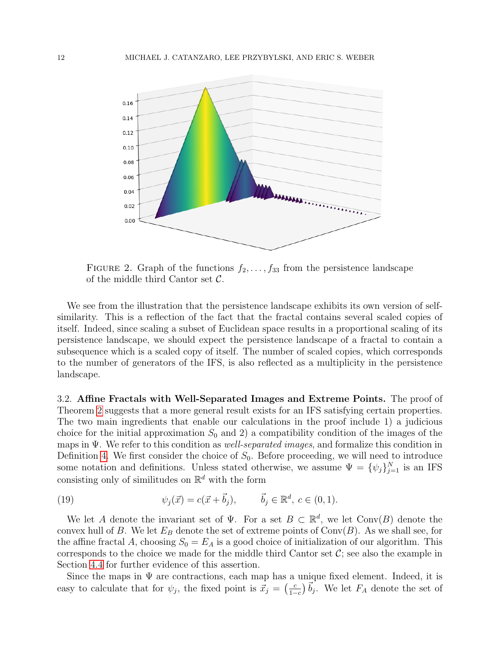

<span id="page-11-0"></span>FIGURE 2. Graph of the functions  $f_2, \ldots, f_{33}$  from the persistence landscape of the middle third Cantor set  $\mathcal{C}$ .

We see from the illustration that the persistence landscape exhibits its own version of selfsimilarity. This is a reflection of the fact that the fractal contains several scaled copies of itself. Indeed, since scaling a subset of Euclidean space results in a proportional scaling of its persistence landscape, we should expect the persistence landscape of a fractal to contain a subsequence which is a scaled copy of itself. The number of scaled copies, which corresponds to the number of generators of the IFS, is also reflected as a multiplicity in the persistence landscape.

3.2. Affine Fractals with Well-Separated Images and Extreme Points. The proof of Theorem [2](#page-8-1) suggests that a more general result exists for an IFS satisfying certain properties. The two main ingredients that enable our calculations in the proof include 1) a judicious choice for the initial approximation  $S_0$  and 2) a compatibility condition of the images of the maps in  $\Psi$ . We refer to this condition as *well-separated images*, and formalize this condition in Definition [4.](#page-13-0) We first consider the choice of  $S_0$ . Before proceeding, we will need to introduce some notation and definitions. Unless stated otherwise, we assume  $\Psi = {\psi_j}_{j=1}^N$  is an IFS consisting only of similitudes on  $\mathbb{R}^d$  with the form

<span id="page-11-1"></span>(19) 
$$
\psi_j(\vec{x}) = c(\vec{x} + \vec{b}_j), \qquad \vec{b}_j \in \mathbb{R}^d, c \in (0, 1).
$$

We let A denote the invariant set of  $\Psi$ . For a set  $B \subset \mathbb{R}^d$ , we let Conv $(B)$  denote the convex hull of B. We let  $E_B$  denote the set of extreme points of  $Conv(B)$ . As we shall see, for the affine fractal A, choosing  $S_0 = E_A$  is a good choice of initialization of our algorithm. This corresponds to the choice we made for the middle third Cantor set  $\mathcal{C}$ ; see also the example in Section [4.4](#page-23-0) for further evidence of this assertion.

Since the maps in  $\Psi$  are contractions, each map has a unique fixed element. Indeed, it is easy to calculate that for  $\psi_j$ , the fixed point is  $\vec{x}_j = \left(\frac{c}{1 - \epsilon}\right)$  $\frac{c}{1-c}$ )  $\overline{b}_j$ . We let  $F_A$  denote the set of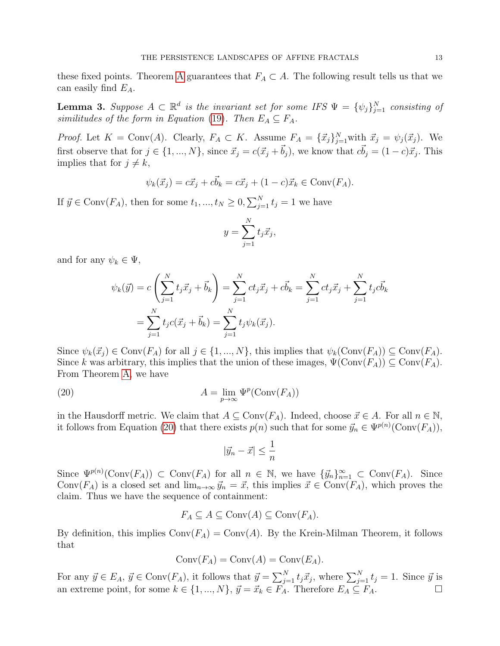these fixed points. Theorem [A](#page-1-0) guarantees that  $F_A \subset A$ . The following result tells us that we can easily find  $E_A$ .

<span id="page-12-1"></span>**Lemma 3.** Suppose  $A \subset \mathbb{R}^d$  is the invariant set for some IFS  $\Psi = {\{\psi_j\}}_{j=1}^N$  consisting of similitudes of the form in Equation [\(19\)](#page-11-1). Then  $E_A \subseteq F_A$ .

*Proof.* Let  $K = Conv(A)$ . Clearly,  $F_A \subset K$ . Assume  $F_A = {\{\vec{x}_j\}}_{j=1}^N$  with  $\vec{x}_j = \psi_j(\vec{x}_j)$ . We first observe that for  $j \in \{1, ..., N\}$ , since  $\vec{x}_j = c(\vec{x}_j + \vec{b}_j)$ , we know that  $c\vec{b}_j = (1 - c)\vec{x}_j$ . This implies that for  $j \neq k$ ,

$$
\psi_k(\vec{x}_j) = c\vec{x}_j + c\vec{b}_k = c\vec{x}_j + (1-c)\vec{x}_k \in \text{Conv}(F_A).
$$

If  $\vec{y} \in \text{Conv}(F_A)$ , then for some  $t_1, ..., t_N \geq 0, \sum_{j=1}^N t_j = 1$  we have

$$
y = \sum_{j=1}^{N} t_j \vec{x}_j,
$$

and for any  $\psi_k \in \Psi$ ,

$$
\psi_k(\vec{y}) = c \left( \sum_{j=1}^N t_j \vec{x}_j + \vec{b}_k \right) = \sum_{j=1}^N ct_j \vec{x}_j + c\vec{b}_k = \sum_{j=1}^N ct_j \vec{x}_j + \sum_{j=1}^N t_j c\vec{b}_k
$$

$$
= \sum_{j=1}^N t_j c(\vec{x}_j + \vec{b}_k) = \sum_{j=1}^N t_j \psi_k(\vec{x}_j).
$$

Since  $\psi_k(\vec{x}_j) \in \text{Conv}(F_A)$  for all  $j \in \{1, ..., N\}$ , this implies that  $\psi_k(\text{Conv}(F_A)) \subseteq \text{Conv}(F_A)$ . Since k was arbitrary, this implies that the union of these images,  $\Psi(\text{Conv}(F_A)) \subseteq \text{Conv}(F_A)$ . From Theorem [A,](#page-1-0) we have

(20) 
$$
A = \lim_{p \to \infty} \Psi^p(\text{Conv}(F_A))
$$

in the Hausdorff metric. We claim that  $A \subseteq Conv(F_A)$ . Indeed, choose  $\vec{x} \in A$ . For all  $n \in \mathbb{N}$ , it follows from Equation [\(20\)](#page-12-0) that there exists  $p(n)$  such that for some  $\vec{y}_n \in \Psi^{p(n)}(\text{Conv}(F_A)),$ 

<span id="page-12-0"></span>
$$
|\vec{y}_n - \vec{x}| \le \frac{1}{n}
$$

Since  $\Psi^{p(n)}(\text{Conv}(F_A)) \subset \text{Conv}(F_A)$  for all  $n \in \mathbb{N}$ , we have  $\{\vec{y}_n\}_{n=1}^{\infty} \subset \text{Conv}(F_A)$ . Since Conv( $F_A$ ) is a closed set and  $\lim_{n\to\infty} \vec{y}_n = \vec{x}$ , this implies  $\vec{x} \in Conv(F_A)$ , which proves the claim. Thus we have the sequence of containment:

$$
F_A \subseteq A \subseteq \text{Conv}(A) \subseteq \text{Conv}(F_A).
$$

By definition, this implies  $Conv(F_A) = Conv(A)$ . By the Krein-Milman Theorem, it follows that

$$
Conv(F_A) = Conv(A) = Conv(E_A).
$$

For any  $\vec{y} \in E_A$ ,  $\vec{y} \in Conv(F_A)$ , it follows that  $\vec{y} = \sum_{j=1}^N t_j \vec{x}_j$ , where  $\sum_{j=1}^N t_j = 1$ . Since  $\vec{y}$  is an extreme point, for some  $k \in \{1, ..., N\}$ ,  $\vec{y} = \vec{x}_k \in \vec{F_A}$ . Therefore  $E_A \subseteq \vec{F_A}$ .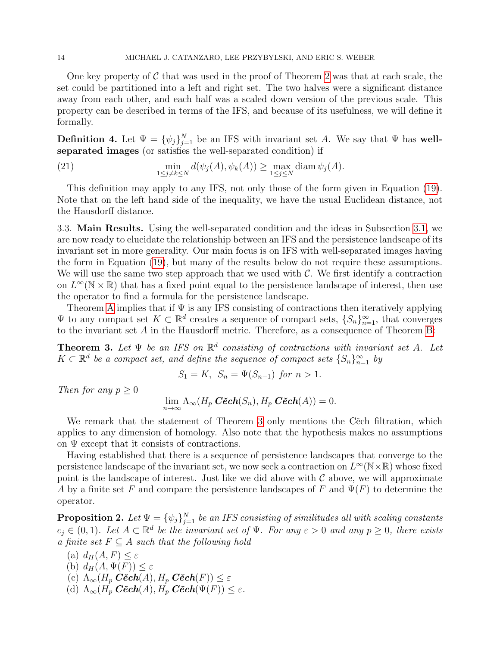One key property of  $\mathcal C$  that was used in the proof of Theorem [2](#page-8-1) was that at each scale, the set could be partitioned into a left and right set. The two halves were a significant distance away from each other, and each half was a scaled down version of the previous scale. This property can be described in terms of the IFS, and because of its usefulness, we will define it formally.

<span id="page-13-0"></span>**Definition 4.** Let  $\Psi = {\{\psi_j\}}_{j=1}^N$  be an IFS with invariant set A. We say that  $\Psi$  has wellseparated images (or satisfies the well-separated condition) if

(21) 
$$
\min_{1 \le j \ne k \le N} d(\psi_j(A), \psi_k(A)) \ge \max_{1 \le j \le N} \text{diam } \psi_j(A).
$$

This definition may apply to any IFS, not only those of the form given in Equation [\(19\)](#page-11-1). Note that on the left hand side of the inequality, we have the usual Euclidean distance, not the Hausdorff distance.

3.3. Main Results. Using the well-separated condition and the ideas in Subsection [3.1,](#page-7-3) we are now ready to elucidate the relationship between an IFS and the persistence landscape of its invariant set in more generality. Our main focus is on IFS with well-separated images having the form in Equation [\(19\)](#page-11-1), but many of the results below do not require these assumptions. We will use the same two step approach that we used with  $\mathcal{C}$ . We first identify a contraction on  $L^{\infty}(\mathbb{N} \times \mathbb{R})$  that has a fixed point equal to the persistence landscape of interest, then use the operator to find a formula for the persistence landscape.

Theorem [A](#page-1-0) implies that if  $\Psi$  is any IFS consisting of contractions then iteratively applying  $\Psi$  to any compact set  $K \subset \mathbb{R}^d$  creates a sequence of compact sets,  $\{S_n\}_{n=1}^{\infty}$ , that converges to the invariant set  $A$  in the Hausdorff metric. Therefore, as a consequence of Theorem [B:](#page-7-4)

<span id="page-13-1"></span>**Theorem 3.** Let  $\Psi$  be an IFS on  $\mathbb{R}^d$  consisting of contractions with invariant set A. Let  $K \subset \mathbb{R}^d$  be a compact set, and define the sequence of compact sets  $\{S_n\}_{n=1}^{\infty}$  by

 $S_1 = K$ ,  $S_n = \Psi(S_{n-1})$  for  $n > 1$ .

Then for any  $p \geq 0$ 

 $\lim_{n\to\infty}\Lambda_\infty(H_p\ \textit{C\check{e}ch}(S_n), H_p\ \textit{C\check{e}ch}(A))=0.$ 

We remark that the statement of Theorem [3](#page-13-1) only mentions the Cech filtration, which applies to any dimension of homology. Also note that the hypothesis makes no assumptions on  $\Psi$  except that it consists of contractions.

Having established that there is a sequence of persistence landscapes that converge to the persistence landscape of the invariant set, we now seek a contraction on  $L^{\infty}(\mathbb{N}\times\mathbb{R})$  whose fixed point is the landscape of interest. Just like we did above with  $\mathcal C$  above, we will approximate A by a finite set F and compare the persistence landscapes of F and  $\Psi(F)$  to determine the operator.

<span id="page-13-2"></span>**Proposition 2.** Let  $\Psi = {\{\psi_j\}}_{j=1}^N$  be an IFS consisting of similitudes all with scaling constants  $c_j \in (0,1)$ . Let  $A \subset \mathbb{R}^d$  be the invariant set of  $\Psi$ . For any  $\varepsilon > 0$  and any  $p \geq 0$ , there exists a finite set  $F \subseteq A$  such that the following hold

- (a)  $d_H(A, F) < \varepsilon$
- (b)  $d_H(A, \Psi(F)) \leq \varepsilon$
- (c)  $\Lambda_{\infty}(H_p \ \mathbf{C\check{e}ch}(A), H_p \ \mathbf{C\check{e}ch}(F)) \leq \varepsilon$
- (d)  $\Lambda_{\infty}(H_p \ \mathbf{C\check{e}ch}(A), H_p \ \mathbf{C\check{e}ch}(\Psi(F)) \leq \varepsilon.$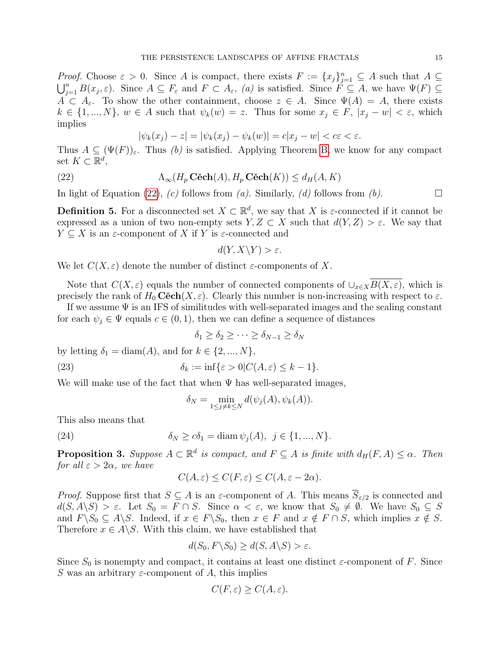*Proof.* Choose  $\varepsilon > 0$ . Since A is compact, there exists  $F := \{x_j\}_{j=1}^n \subseteq A$  such that  $A \subseteq$  $\bigcup_{j=1}^n B(x_j,\varepsilon)$ . Since  $A \subseteq F_{\varepsilon}$  and  $F \subset A_{\varepsilon}$ , (a) is satisfied. Since  $F \subseteq A$ , we have  $\Psi(F) \subseteq$  $A \subset A_{\varepsilon}$ . To show the other containment, choose  $z \in A$ . Since  $\Psi(A) = A$ , there exists  $k \in \{1, ..., N\}, w \in A$  such that  $\psi_k(w) = z$ . Thus for some  $x_i \in F$ ,  $|x_i - w| < \varepsilon$ , which implies

<span id="page-14-0"></span>
$$
|\psi_k(x_j) - z| = |\psi_k(x_j) - \psi_k(w)| = c|x_j - w| < c\varepsilon < \varepsilon.
$$

Thus  $A \subseteq (\Psi(F))_{\varepsilon}$ . Thus (b) is satisfied. Applying Theorem [B,](#page-7-4) we know for any compact set  $K \subset \mathbb{R}^d$ ,

(22) 
$$
\Lambda_{\infty}(H_p \mathbf{C\check{e}ch}(A), H_p \mathbf{C\check{e}ch}(K)) \leq d_H(A, K)
$$

In light of Equation [\(22\)](#page-14-0), (c) follows from (a). Similarly, (d) follows from (b).

**Definition 5.** For a disconnected set  $X \subset \mathbb{R}^d$ , we say that X is  $\varepsilon$ -connected if it cannot be expressed as a union of two non-empty sets  $Y, Z \subset X$  such that  $d(Y, Z) > \varepsilon$ . We say that  $Y \subset X$  is an  $\varepsilon$ -component of X if Y is  $\varepsilon$ -connected and

$$
d(Y, X \backslash Y) > \varepsilon.
$$

We let  $C(X, \varepsilon)$  denote the number of distinct  $\varepsilon$ -components of X.

Note that  $C(X, \varepsilon)$  equals the number of connected components of  $\cup_{x\in X} \overline{B(X, \varepsilon)}$ , which is precisely the rank of  $H_0$  Cěch $(X, \varepsilon)$ . Clearly this number is non-increasing with respect to  $\varepsilon$ .

If we assume  $\Psi$  is an IFS of similitudes with well-separated images and the scaling constant for each  $\psi_i \in \Psi$  equals  $c \in (0,1)$ , then we can define a sequence of distances

<span id="page-14-1"></span>
$$
\delta_1 \ge \delta_2 \ge \cdots \ge \delta_{N-1} \ge \delta_N
$$

by letting  $\delta_1 = \text{diam}(A)$ , and for  $k \in \{2, ..., N\}$ ,

(23) 
$$
\delta_k := \inf \{ \varepsilon > 0 | C(A, \varepsilon) \leq k - 1 \}.
$$

We will make use of the fact that when  $\Psi$  has well-separated images,

$$
\delta_N = \min_{1 \le j \ne k \le N} d(\psi_j(A), \psi_k(A)).
$$

This also means that

(24)  $\delta_N > c\delta_1 = \text{diam } \psi_i(A), \ \ i \in \{1, ..., N\}.$ 

<span id="page-14-2"></span>**Proposition 3.** Suppose  $A \subset \mathbb{R}^d$  is compact, and  $F \subseteq A$  is finite with  $d_H(F, A) \leq \alpha$ . Then for all  $\varepsilon > 2\alpha$ , we have

$$
C(A,\varepsilon) \le C(F,\varepsilon) \le C(A,\varepsilon - 2\alpha).
$$

*Proof.* Suppose first that  $S \subseteq A$  is an  $\varepsilon$ -component of A. This means  $S_{\varepsilon/2}$  is connected and  $d(S, A \setminus S) > \varepsilon$ . Let  $S_0 = F \cap S$ . Since  $\alpha < \varepsilon$ , we know that  $S_0 \neq \emptyset$ . We have  $S_0 \subseteq S$ and  $F\setminus S_0 \subseteq A\setminus S$ . Indeed, if  $x \in F\setminus S_0$ , then  $x \in F$  and  $x \notin F \cap S$ , which implies  $x \notin S$ . Therefore  $x \in A \backslash S$ . With this claim, we have established that

$$
d(S_0, F \backslash S_0) \ge d(S, A \backslash S) > \varepsilon.
$$

Since  $S_0$  is nonempty and compact, it contains at least one distinct  $\varepsilon$ -component of F. Since S was an arbitrary  $\varepsilon$ -component of A, this implies

$$
C(F, \varepsilon) \ge C(A, \varepsilon).
$$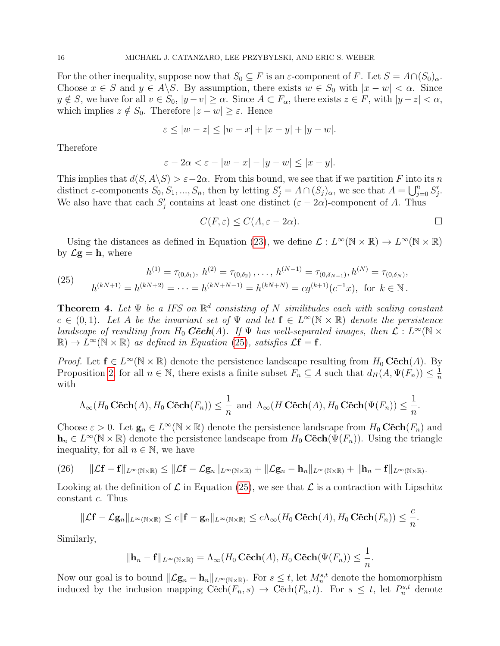For the other inequality, suppose now that  $S_0 \subseteq F$  is an  $\varepsilon$ -component of F. Let  $S = A \cap (S_0)_{\alpha}$ . Choose  $x \in S$  and  $y \in A \backslash S$ . By assumption, there exists  $w \in S_0$  with  $|x - w| < \alpha$ . Since  $y \notin S$ , we have for all  $v \in S_0$ ,  $|y - v| \ge \alpha$ . Since  $A \subset F_\alpha$ , there exists  $z \in F$ , with  $|y - z| < \alpha$ , which implies  $z \notin S_0$ . Therefore  $|z - w| \geq \varepsilon$ . Hence

$$
\varepsilon \le |w - z| \le |w - x| + |x - y| + |y - w|.
$$

Therefore

$$
\varepsilon - 2\alpha < \varepsilon - |w - x| - |y - w| \le |x - y|.
$$

This implies that  $d(S, A \backslash S) > \varepsilon - 2\alpha$ . From this bound, we see that if we partition F into its n distinct  $\varepsilon$ -components  $S_0, S_1, ..., S_n$ , then by letting  $S'_j = A \cap (S_j)_{\alpha}$ , we see that  $A = \bigcup_{j=0}^n S'_j$ . We also have that each  $S_j'$  contains at least one distinct  $(\varepsilon - 2\alpha)$ -component of A. Thus

$$
C(F,\varepsilon) \le C(A,\varepsilon - 2\alpha).
$$

Using the distances as defined in Equation [\(23\)](#page-14-1), we define  $\mathcal{L}: L^{\infty}(\mathbb{N} \times \mathbb{R}) \to L^{\infty}(\mathbb{N} \times \mathbb{R})$ by  $\mathcal{L}\mathbf{g} = \mathbf{h}$ , where

<span id="page-15-1"></span>(25) 
$$
h^{(1)} = \tau_{(0,\delta_1)}, \ h^{(2)} = \tau_{(0,\delta_2)}, \dots, \ h^{(N-1)} = \tau_{(0,\delta_{N-1})}, h^{(N)} = \tau_{(0,\delta_N)},
$$

$$
h^{(kN+1)} = h^{(kN+2)} = \dots = h^{(kN+N-1)} = h^{(kN+N)} = cg^{(k+1)}(c^{-1}x), \text{ for } k \in \mathbb{N}.
$$

<span id="page-15-0"></span>**Theorem 4.** Let  $\Psi$  be a IFS on  $\mathbb{R}^d$  consisting of N similitudes each with scaling constant  $c \in (0,1)$ . Let A be the invariant set of  $\Psi$  and let  $f \in L^{\infty}(\mathbb{N} \times \mathbb{R})$  denote the persistence landscape of resulting from  $H_0$   $C\check{e}ch(A)$ . If  $\Psi$  has well-separated images, then  $\mathcal{L}: L^{\infty}(\mathbb{N} \times$  $\mathbb{R} \to L^{\infty}(\mathbb{N} \times \mathbb{R})$  as defined in Equation [\(25\)](#page-15-1), satisfies  $\mathcal{L}f = f$ .

*Proof.* Let  $f \in L^{\infty}(\mathbb{N} \times \mathbb{R})$  denote the persistence landscape resulting from  $H_0$  Cěch $(A)$ . By Proposition [2,](#page-13-2) for all  $n \in \mathbb{N}$ , there exists a finite subset  $F_n \subseteq A$  such that  $d_H(A, \Psi(F_n)) \leq \frac{1}{n}$ n with

$$
\Lambda_{\infty}(H_0 \mathbf{C\check{e}ch}(A), H_0 \mathbf{C\check{e}ch}(F_n)) \leq \frac{1}{n} \text{ and } \Lambda_{\infty}(H \mathbf{C\check{e}ch}(A), H_0 \mathbf{C\check{e}ch}(\Psi(F_n)) \leq \frac{1}{n}.
$$

Choose  $\varepsilon > 0$ . Let  $\mathbf{g}_n \in L^{\infty}(\mathbb{N} \times \mathbb{R})$  denote the persistence landscape from  $H_0 \mathbf{C} \check{\mathbf{c}} \mathbf{ch}(F_n)$  and  $h_n \in L^{\infty}(\mathbb{N} \times \mathbb{R})$  denote the persistence landscape from  $H_0 \widetilde{C}ech(\Psi(F_n))$ . Using the triangle inequality, for all  $n \in \mathbb{N}$ , we have

<span id="page-15-2"></span>
$$
(26) \qquad \|\mathcal{L}\mathbf{f}-\mathbf{f}\|_{L^{\infty}(\mathbb{N}\times\mathbb{R})}\leq\|\mathcal{L}\mathbf{f}-\mathcal{L}\mathbf{g}_{n}\|_{L^{\infty}(\mathbb{N}\times\mathbb{R})}+\|\mathcal{L}\mathbf{g}_{n}-\mathbf{h}_{n}\|_{L^{\infty}(\mathbb{N}\times\mathbb{R})}+\|\mathbf{h}_{n}-\mathbf{f}\|_{L^{\infty}(\mathbb{N}\times\mathbb{R})}.
$$

Looking at the definition of  $\mathcal L$  in Equation [\(25\)](#page-15-1), we see that  $\mathcal L$  is a contraction with Lipschitz constant c. Thus

$$
\|\mathcal{L}\mathbf{f}-\mathcal{L}\mathbf{g}_n\|_{L^{\infty}(\mathbb{N}\times\mathbb{R})}\leq c\|\mathbf{f}-\mathbf{g}_n\|_{L^{\infty}(\mathbb{N}\times\mathbb{R})}\leq c\Lambda_{\infty}(H_0\operatorname{C\check{e}ch}(A),H_0\operatorname{C\check{e}ch}(F_n))\leq \frac{c}{n}.
$$

Similarly,

$$
\|\mathbf{h}_n - \mathbf{f}\|_{L^{\infty}(\mathbb{N}\times\mathbb{R})} = \Lambda_{\infty}(H_0 \operatorname{C\check{e}ch}(A), H_0 \operatorname{C\check{e}ch}(\Psi(F_n)) \leq \frac{1}{n}.
$$

Now our goal is to bound  $\|\mathcal{L}\mathbf{g}_n - \mathbf{h}_n\|_{L^{\infty}(\mathbb{N}\times\mathbb{R})}$ . For  $s \leq t$ , let  $M_n^{s,t}$  denote the homomorphism induced by the inclusion mapping  $\text{Cěch}(F_n, s) \to \text{Cěch}(F_n, t)$ . For  $s \leq t$ , let  $P_n^{s,t}$  denote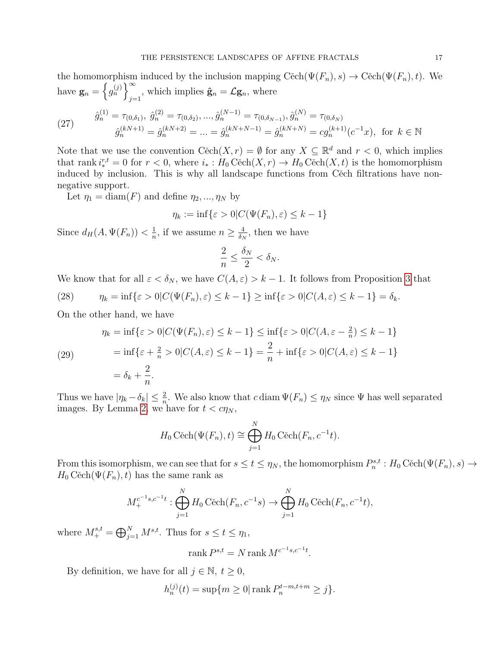the homomorphism induced by the inclusion mapping  $\text{Cěch}(\Psi(F_n), s) \to \text{Cěch}(\Psi(F_n), t)$ . We have  $\mathbf{g}_n = \left\{ g_n^{(j)} \right\}^{\infty}$  $j=1$ , which implies  $\hat{\mathbf{g}}_n = \mathcal{L} \mathbf{g}_n$ , where  $\hat g_n^{(1)}$  $, \hat{g}^{(2)}_{n}$  $\land$ (N−1)  $,\hat g_n^{(N)}$ 

(27) 
$$
\hat{g}_n^{(1)} = \tau_{(0,\delta_1)}, \ \hat{g}_n^{(2)} = \tau_{(0,\delta_2)}, \dots, \hat{g}_n^{(N-1)} = \tau_{(0,\delta_{N-1})}, \hat{g}_n^{(N)} = \tau_{(0,\delta_N)}
$$
\n
$$
\hat{g}_n^{(kN+1)} = \hat{g}_n^{(kN+2)} = \dots = \hat{g}_n^{(kN+N-1)} = \hat{g}_n^{(kN+N)} = cg_n^{(k+1)}(c^{-1}x), \text{ for } k \in \mathbb{N}
$$

Note that we use the convention  $\text{Cěch}(X,r) = \emptyset$  for any  $X \subseteq \mathbb{R}^d$  and  $r < 0$ , which implies that rank  $i^{r,t}_* = 0$  for  $r < 0$ , where  $i_* : H_0 \text{Cěch}(X, r) \to H_0 \text{Cěch}(X, t)$  is the homomorphism induced by inclusion. This is why all landscape functions from Cěch filtrations have nonnegative support.

Let  $\eta_1 = \text{diam}(F)$  and define  $\eta_2, ..., \eta_N$  by

$$
\eta_k := \inf \{ \varepsilon > 0 | C(\Psi(F_n), \varepsilon) \le k - 1 \}
$$

Since  $d_H(A, \Psi(F_n)) < \frac{1}{n}$  $\frac{1}{n}$ , if we assume  $n \geq \frac{4}{\delta_N}$  $\frac{4}{\delta_N}$ , then we have

$$
\frac{2}{n} \le \frac{\delta_N}{2} < \delta_N.
$$

We know that for all  $\varepsilon < \delta_N$ , we have  $C(A, \varepsilon) > k - 1$ . It follows from Proposition [3](#page-14-2) that

(28)  $\eta_k = \inf\{\varepsilon > 0 | C(\Psi(F_n), \varepsilon) \leq k - 1\} \geq \inf\{\varepsilon > 0 | C(A, \varepsilon) \leq k - 1\} = \delta_k.$ 

On the other hand, we have

(29)  
\n
$$
\eta_k = \inf \{ \varepsilon > 0 | C(\Psi(F_n), \varepsilon) \le k - 1 \} \le \inf \{ \varepsilon > 0 | C(A, \varepsilon - \frac{2}{n}) \le k - 1 \}
$$
\n
$$
= \inf \{ \varepsilon + \frac{2}{n} > 0 | C(A, \varepsilon) \le k - 1 \} = \frac{2}{n} + \inf \{ \varepsilon > 0 | C(A, \varepsilon) \le k - 1 \}
$$
\n
$$
= \delta_k + \frac{2}{n}.
$$

Thus we have  $|\eta_k - \delta_k| \leq \frac{2}{n}$ . We also know that  $c \operatorname{diam} \Psi(F_n) \leq \eta_N$  since  $\Psi$  has well separated images. By Lemma [2,](#page-4-1) we have for  $t < c\eta_N$ ,

$$
H_0 \text{ Cěch}(\Psi(F_n), t) \cong \bigoplus_{j=1}^N H_0 \text{ Cěch}(F_n, c^{-1}t).
$$

From this isomorphism, we can see that for  $s \le t \le \eta_N$ , the homomorphism  $P_n^{s,t}: H_0 \check{C}ech(\Psi(F_n), s) \to$  $H_0 \text{Cěch}(\Psi(F_n), t)$  has the same rank as

$$
M_+^{c^{-1}s,c^{-1}t} : \bigoplus_{j=1}^N H_0 \mathbf{C} \text{\'ech}(F_n, c^{-1}s) \to \bigoplus_{j=1}^N H_0 \mathbf{C} \text{\'ech}(F_n, c^{-1}t),
$$

where  $M^{s,t}_+ = \bigoplus_{j=1}^N M^{s,t}$ . Thus for  $s \le t \le \eta_1$ ,

$$
rank P^{s,t} = N rank M^{c^{-1}s,c^{-1}t}.
$$

By definition, we have for all  $j \in \mathbb{N}$ ,  $t \geq 0$ ,

$$
h_n^{(j)}(t) = \sup\{m \ge 0 | \text{ rank } P_n^{t-m, t+m} \ge j\}.
$$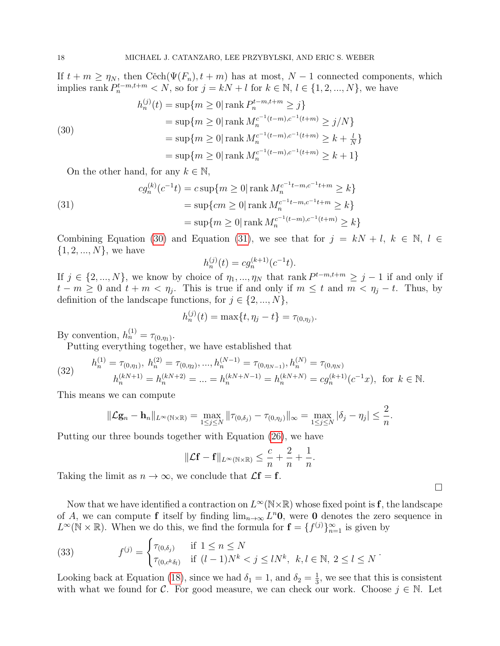If  $t + m \geq \eta_N$ , then Cěch $(\Psi(F_n), t + m)$  has at most,  $N - 1$  connected components, which implies rank  $P_n^{t-m,t+m} < N$ , so for  $j = kN + l$  for  $k \in \mathbb{N}, l \in \{1, 2, ..., N\}$ , we have

<span id="page-17-0"></span>(30)  
\n
$$
h_n^{(j)}(t) = \sup\{m \ge 0 | \operatorname{rank} P_n^{t-m, t+m} \ge j\}
$$
\n
$$
= \sup\{m \ge 0 | \operatorname{rank} M_n^{c^{-1}(t-m), c^{-1}(t+m)} \ge j/N\}
$$
\n
$$
= \sup\{m \ge 0 | \operatorname{rank} M_n^{c^{-1}(t-m), c^{-1}(t+m)} \ge k + \frac{l}{N}\}
$$
\n
$$
= \sup\{m \ge 0 | \operatorname{rank} M_n^{c^{-1}(t-m), c^{-1}(t+m)} \ge k + 1\}
$$

On the other hand, for any  $k \in \mathbb{N}$ ,

<span id="page-17-1"></span>(31)  
\n
$$
cg_n^{(k)}(c^{-1}t) = c \sup\{m \ge 0 | \operatorname{rank} M_n^{c^{-1}t - m, c^{-1}t + m} \ge k\}
$$
\n
$$
= \sup\{cm \ge 0 | \operatorname{rank} M_n^{c^{-1}t - m, c^{-1}t + m} \ge k\}
$$
\n
$$
= \sup\{m \ge 0 | \operatorname{rank} M_n^{c^{-1}(t - m), c^{-1}(t + m)} \ge k\}
$$

Combining Equation [\(30\)](#page-17-0) and Equation [\(31\)](#page-17-1), we see that for  $j = kN + l, k \in \mathbb{N}, l \in$  $\{1, 2, ..., N\}$ , we have

$$
h_n^{(j)}(t) = c g_n^{(k+1)}(c^{-1}t).
$$

If  $j \in \{2, ..., N\}$ , we know by choice of  $\eta_1, ..., \eta_N$  that rank  $P^{t-m,t+m} \geq j-1$  if and only if  $t - m \geq 0$  and  $t + m < \eta_j$ . This is true if and only if  $m \leq t$  and  $m < \eta_j - t$ . Thus, by definition of the landscape functions, for  $j \in \{2, ..., N\},\$ 

$$
h_n^{(j)}(t) = \max\{t, \eta_j - t\} = \tau_{(0, \eta_j)}.
$$

By convention,  $h_n^{(1)} = \tau_{(0,\eta_1)}$ .

Putting everything together, we have established that

(32) 
$$
h_n^{(1)} = \tau_{(0,\eta_1)}, \ h_n^{(2)} = \tau_{(0,\eta_2)}, \dots, h_n^{(N-1)} = \tau_{(0,\eta_{N-1})}, h_n^{(N)} = \tau_{(0,\eta_N)}
$$

$$
h_n^{(kN+1)} = h_n^{(kN+2)} = \dots = h_n^{(kN+N-1)} = h_n^{(kN+N)} = cg_n^{(k+1)}(c^{-1}x), \text{ for } k \in \mathbb{N}.
$$

This means we can compute

$$
\|\mathcal{L}\mathbf{g}_n - \mathbf{h}_n\|_{L^{\infty}(\mathbb{N}\times\mathbb{R})} = \max_{1 \leq j \leq N} \|\tau_{(0,\delta_j)} - \tau_{(0,\eta_j)}\|_{\infty} = \max_{1 \leq j \leq N} |\delta_j - \eta_j| \leq \frac{2}{n}.
$$

Putting our three bounds together with Equation [\(26\)](#page-15-2), we have

$$
\|\mathcal{L}\mathbf{f} - \mathbf{f}\|_{L^{\infty}(\mathbb{N}\times\mathbb{R})} \leq \frac{c}{n} + \frac{2}{n} + \frac{1}{n}.
$$

Taking the limit as  $n \to \infty$ , we conclude that  $\mathcal{L}f = f$ .

Now that we have identified a contraction on  $L^{\infty}(\mathbb{N}\times\mathbb{R})$  whose fixed point is f, the landscape of A, we can compute f itself by finding  $\lim_{n\to\infty} L^n \mathbf{0}$ , were  $\mathbf{0}$  denotes the zero sequence in  $L^{\infty}(\mathbb{N} \times \mathbb{R})$ . When we do this, we find the formula for  $\mathbf{f} = \{f^{(j)}\}_{n=1}^{\infty}$  is given by

<span id="page-17-2"></span>(33) 
$$
f^{(j)} = \begin{cases} \tau_{(0,\delta_j)} & \text{if } 1 \le n \le N \\ \tau_{(0,c^k\delta_l)} & \text{if } (l-1)N^k < j \le lN^k, \ k, l \in \mathbb{N}, 2 \le l \le N \end{cases}.
$$

Looking back at Equation [\(18\)](#page-10-0), since we had  $\delta_1 = 1$ , and  $\delta_2 = \frac{1}{3}$  $\frac{1}{3}$ , we see that this is consistent with what we found for C. For good measure, we can check our work. Choose  $j \in \mathbb{N}$ . Let

 $\Box$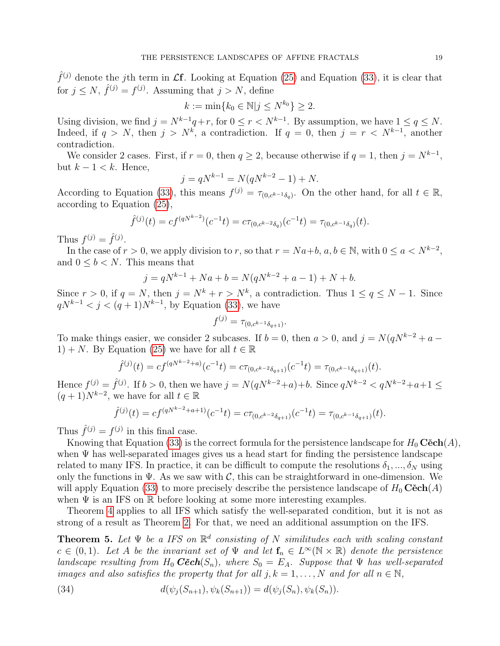$\hat{f}^{(j)}$  denote the j<sup>th</sup> term in  $\mathcal{L}$ f. Looking at Equation [\(25\)](#page-15-1) and Equation [\(33\)](#page-17-2), it is clear that for  $j \leq N$ ,  $\hat{f}^{(j)} = f^{(j)}$ . Assuming that  $j > N$ , define

$$
k := \min\{k_0 \in \mathbb{N} | j \le N^{k_0}\} \ge 2.
$$

Using division, we find  $j = N^{k-1}q + r$ , for  $0 \le r < N^{k-1}$ . By assumption, we have  $1 \le q \le N$ . Indeed, if  $q > N$ , then  $j > N^k$ , a contradiction. If  $q = 0$ , then  $j = r < N^{k-1}$ , another contradiction.

We consider 2 cases. First, if  $r = 0$ , then  $q \ge 2$ , because otherwise if  $q = 1$ , then  $j = N^{k-1}$ , but  $k - 1 < k$ . Hence,

$$
j = qN^{k-1} = N(qN^{k-2} - 1) + N.
$$

According to Equation [\(33\)](#page-17-2), this means  $f^{(j)} = \tau_{(0, c^{k-1}\delta_q)}$ . On the other hand, for all  $t \in \mathbb{R}$ , according to Equation [\(25\)](#page-15-1),

$$
\hat{f}^{(j)}(t) = cf^{(qN^{k-2})}(c^{-1}t) = c\tau_{(0,c^{k-2}\delta_q)}(c^{-1}t) = \tau_{(0,c^{k-1}\delta_q)}(t).
$$

Thus  $f^{(j)} = \hat{f}^{(j)}$ .

In the case of  $r > 0$ , we apply division to r, so that  $r = Na+b$ ,  $a, b \in \mathbb{N}$ , with  $0 \le a < N^{k-2}$ , and  $0 \leq b \leq N$ . This means that

$$
j = qN^{k-1} + Na + b = N(qN^{k-2} + a - 1) + N + b.
$$

Since  $r > 0$ , if  $q = N$ , then  $j = N^k + r > N^k$ , a contradiction. Thus  $1 \le q \le N - 1$ . Since  $qN^{k-1} < j < (q+1)N^{k-1}$ , by Equation [\(33\)](#page-17-2), we have

$$
f^{(j)} = \tau_{(0, c^{k-1}\delta_{q+1})}.
$$

To make things easier, we consider 2 subcases. If  $b = 0$ , then  $a > 0$ , and  $j = N(qN^{k-2} + a -$ 1) + N. By Equation [\(25\)](#page-15-1) we have for all  $t \in \mathbb{R}$ 

$$
\hat{f}^{(j)}(t) = cf^{(qN^{k-2}+a)}(c^{-1}t) = c\tau_{(0,c^{k-2}\delta_{q+1})}(c^{-1}t) = \tau_{(0,c^{k-1}\delta_{q+1})}(t).
$$

Hence  $f^{(j)} = \hat{f}^{(j)}$ . If  $b > 0$ , then we have  $j = N(qN^{k-2}+a)+b$ . Since  $qN^{k-2} < qN^{k-2}+a+1 \leq$  $(q+1)N^{k-2}$ , we have for all  $t \in \mathbb{R}$ 

$$
\hat{f}^{(j)}(t) = cf^{(qN^{k-2}+a+1)}(c^{-1}t) = c\tau_{(0,c^{k-2}\delta_{q+1})}(c^{-1}t) = \tau_{(0,c^{k-1}\delta_{q+1})}(t).
$$

Thus  $\hat{f}^{(j)} = f^{(j)}$  in this final case.

Knowing that Equation [\(33\)](#page-17-2) is the correct formula for the persistence landscape for  $H_0$  Cěch $(A)$ , when  $\Psi$  has well-separated images gives us a head start for finding the persistence landscape related to many IFS. In practice, it can be difficult to compute the resolutions  $\delta_1, ..., \delta_N$  using only the functions in  $\Psi$ . As we saw with C, this can be straightforward in one-dimension. We will apply Equation [\(33\)](#page-17-2) to more precisely describe the persistence landscape of  $H_0$  Cěch(A) when  $\Psi$  is an IFS on  $\mathbb R$  before looking at some more interesting examples.

Theorem [4](#page-15-0) applies to all IFS which satisfy the well-separated condition, but it is not as strong of a result as Theorem [2.](#page-8-1) For that, we need an additional assumption on the IFS.

<span id="page-18-0"></span>**Theorem 5.** Let  $\Psi$  be a IFS on  $\mathbb{R}^d$  consisting of N similitudes each with scaling constant  $c \in (0,1)$ . Let A be the invariant set of  $\Psi$  and let  $f_n \in L^{\infty}(\mathbb{N} \times \mathbb{R})$  denote the persistence landscape resulting from  $H_0$   $C\check{e}ch(S_n)$ , where  $S_0 = E_A$ . Suppose that  $\Psi$  has well-separated images and also satisfies the property that for all  $j, k = 1, ..., N$  and for all  $n \in \mathbb{N}$ ,

<span id="page-18-1"></span>(34) 
$$
d(\psi_j(S_{n+1}), \psi_k(S_{n+1})) = d(\psi_j(S_n), \psi_k(S_n)).
$$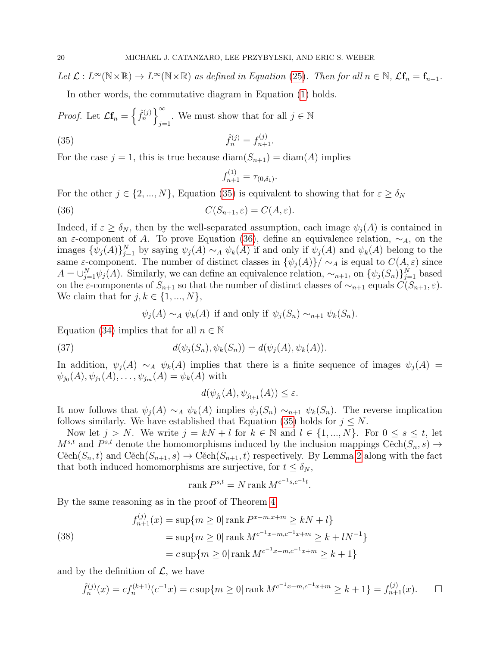Let  $\mathcal{L}: L^{\infty}(\mathbb{N} \times \mathbb{R}) \to L^{\infty}(\mathbb{N} \times \mathbb{R})$  as defined in Equation [\(25\)](#page-15-1). Then for all  $n \in \mathbb{N}$ ,  $\mathcal{L} \mathbf{f}_n = \mathbf{f}_{n+1}$ .

In other words, the commutative diagram in Equation [\(1\)](#page-2-0) holds.

*Proof.* Let  $\mathcal{L}\mathbf{f}_n = \left\{ \hat{f}_n^{(j)} \right\}^{\infty}$ We must show that for all  $j \in \mathbb{N}$ 

(35) 
$$
\hat{f}_n^{(j)} = f_{n+1}^{(j)}.
$$

For the case  $j = 1$ , this is true because  $\text{diam}(S_{n+1}) = \text{diam}(A)$  implies

<span id="page-19-1"></span><span id="page-19-0"></span>
$$
f_{n+1}^{(1)} = \tau_{(0,\delta_1)}.
$$

For the other  $j \in \{2, ..., N\}$ , Equation [\(35\)](#page-19-0) is equivalent to showing that for  $\varepsilon \geq \delta_N$ 

(36) 
$$
C(S_{n+1}, \varepsilon) = C(A, \varepsilon).
$$

Indeed, if  $\varepsilon \geq \delta_N$ , then by the well-separated assumption, each image  $\psi_i(A)$  is contained in an  $\varepsilon$ -component of A. To prove Equation [\(36\)](#page-19-1), define an equivalence relation,  $\sim_A$ , on the images  $\{\psi_j(A)\}_{j=1}^N$  by saying  $\psi_j(A) \sim_A \psi_k(A)$  if and only if  $\psi_j(A)$  and  $\psi_k(A)$  belong to the same  $\varepsilon$ -component. The number of distinct classes in  $\{\psi_j(A)\}/\sim_A$  is equal to  $C(A,\varepsilon)$  since  $A = \bigcup_{j=1}^{N} \psi_j(A)$ . Similarly, we can define an equivalence relation,  $\sim_{n+1}$ , on  $\{\psi_j(S_n)\}_{j=1}^N$  based on the  $\varepsilon$ -components of  $S_{n+1}$  so that the number of distinct classes of  $\sim_{n+1}$  equals  $\check{C}(S_{n+1}, \varepsilon)$ . We claim that for  $j, k \in \{1, ..., N\},\$ 

$$
\psi_j(A) \sim_A \psi_k(A)
$$
 if and only if  $\psi_j(S_n) \sim_{n+1} \psi_k(S_n)$ .

Equation [\(34\)](#page-18-1) implies that for all  $n \in \mathbb{N}$ 

(37) 
$$
d(\psi_j(S_n), \psi_k(S_n)) = d(\psi_j(A), \psi_k(A)).
$$

In addition,  $\psi_j(A) \sim_A \psi_k(A)$  implies that there is a finite sequence of images  $\psi_j(A)$  $\psi_{j_0}(A), \psi_{j_1}(A), \ldots, \psi_{j_m}(A) = \psi_k(A)$  with

$$
d(\psi_{j_l}(A), \psi_{j_{l+1}}(A)) \le \varepsilon.
$$

It now follows that  $\psi_i(A) \sim_A \psi_k(A)$  implies  $\psi_i(S_n) \sim_{n+1} \psi_k(S_n)$ . The reverse implication follows similarly. We have established that Equation [\(35\)](#page-19-0) holds for  $j \leq N$ .

Now let  $j > N$ . We write  $j = kN + l$  for  $k \in \mathbb{N}$  and  $l \in \{1, ..., N\}$ . For  $0 \leq s \leq t$ , let  $M^{s,t}$  and  $P^{s,t}$  denote the homomorphisms induced by the inclusion mappings Cěch $(S_n, s) \to$  $C\check{e}ch(S_n, t)$  and  $C\check{e}ch(S_{n+1}, s) \to C\check{e}ch(S_{n+1}, t)$  respectively. By Lemma [2](#page-4-1) along with the fact that both induced homomorphisms are surjective, for  $t \leq \delta_N$ ,

$$
rank P^{s,t} = N rank M^{c^{-1}s,c^{-1}t}.
$$

By the same reasoning as in the proof of Theorem [4](#page-15-0)

(38)  
\n
$$
f_{n+1}^{(j)}(x) = \sup\{m \ge 0 | \operatorname{rank} P^{x-m,x+m} \ge kN + l \}
$$
\n
$$
= \sup\{m \ge 0 | \operatorname{rank} M^{c^{-1}x-m,c^{-1}x+m} \ge k + lN^{-1} \}
$$
\n
$$
= c \sup\{m \ge 0 | \operatorname{rank} M^{c^{-1}x-m,c^{-1}x+m} \ge k+1 \}
$$

and by the definition of  $\mathcal{L}$ , we have

$$
\hat{f}_n^{(j)}(x) = cf_n^{(k+1)}(c^{-1}x) = c \sup\{m \ge 0 | \operatorname{rank} M^{c^{-1}x - m, c^{-1}x + m} \ge k + 1\} = f_{n+1}^{(j)}(x). \qquad \Box
$$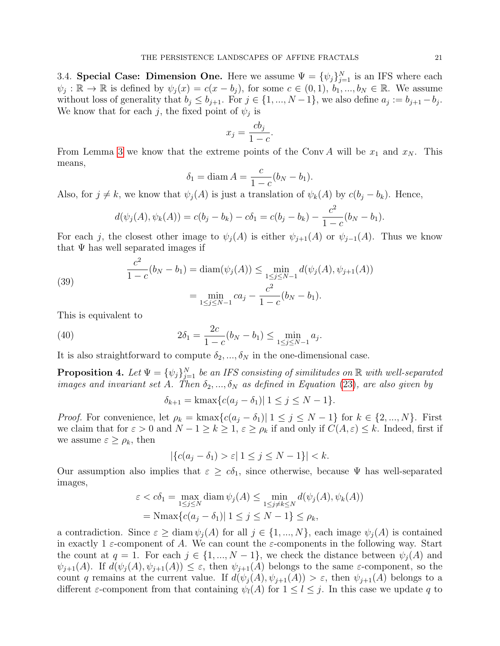3.4. Special Case: Dimension One. Here we assume  $\Psi = {\{\psi_j\}}_{j=1}^N$  is an IFS where each  $\psi_j : \mathbb{R} \to \mathbb{R}$  is defined by  $\psi_j(x) = c(x - b_j)$ , for some  $c \in (0, 1)$ ,  $b_1, ..., b_N \in \mathbb{R}$ . We assume without loss of generality that  $b_j \leq b_{j+1}$ . For  $j \in \{1, ..., N-1\}$ , we also define  $a_j := b_{j+1} - b_j$ . We know that for each j, the fixed point of  $\psi_j$  is

$$
x_j = \frac{cb_j}{1 - c}.
$$

From Lemma [3](#page-12-1) we know that the extreme points of the Conv A will be  $x_1$  and  $x_N$ . This means,

$$
\delta_1 = \text{diam } A = \frac{c}{1 - c}(b_N - b_1).
$$

Also, for  $j \neq k$ , we know that  $\psi_j(A)$  is just a translation of  $\psi_k(A)$  by  $c(b_j - b_k)$ . Hence,

$$
d(\psi_j(A), \psi_k(A)) = c(b_j - b_k) - c\delta_1 = c(b_j - b_k) - \frac{c^2}{1 - c}(b_N - b_1).
$$

For each j, the closest other image to  $\psi_j(A)$  is either  $\psi_{j+1}(A)$  or  $\psi_{j-1}(A)$ . Thus we know that  $\Psi$  has well separated images if

(39) 
$$
\frac{c^2}{1-c}(b_N - b_1) = \text{diam}(\psi_j(A)) \le \min_{1 \le j \le N-1} d(\psi_j(A), \psi_{j+1}(A))
$$

$$
= \min_{1 \le j \le N-1} ca_j - \frac{c^2}{1-c}(b_N - b_1).
$$

This is equivalent to

 $\overline{2}$ 

(40) 
$$
2\delta_1 = \frac{2c}{1-c}(b_N - b_1) \le \min_{1 \le j \le N-1} a_j.
$$

It is also straightforward to compute  $\delta_2, ..., \delta_N$  in the one-dimensional case.

<span id="page-20-0"></span>**Proposition 4.** Let  $\Psi = {\{\psi_j\}}_{j=1}^N$  be an IFS consisting of similitudes on  $\mathbb R$  with well-separated images and invariant set A. Then  $\delta_2, ..., \delta_N$  as defined in Equation [\(23\)](#page-14-1), are also given by

$$
\delta_{k+1} = \text{kmax}\{c(a_j - \delta_1) | 1 \le j \le N - 1\}.
$$

*Proof.* For convenience, let  $\rho_k = \text{kmax}\{c(a_j - \delta_1) | 1 \leq j \leq N-1\}$  for  $k \in \{2, ..., N\}$ . First we claim that for  $\varepsilon > 0$  and  $N - 1 \ge k \ge 1$ ,  $\varepsilon \ge \rho_k$  if and only if  $C(A, \varepsilon) \le k$ . Indeed, first if we assume  $\varepsilon \geq \rho_k$ , then

$$
|\{c(a_j - \delta_1) > \varepsilon | 1 \le j \le N - 1\}| < k.
$$

Our assumption also implies that  $\varepsilon \geq c\delta_1$ , since otherwise, because  $\Psi$  has well-separated images,

$$
\varepsilon < c\delta_1 = \max_{1 \le j \le N} \operatorname{diam} \psi_j(A) \le \min_{1 \le j \ne k \le N} d(\psi_j(A), \psi_k(A))
$$
\n
$$
= \operatorname{Nmax} \{ c(a_j - \delta_1) | 1 \le j \le N - 1 \} \le \rho_k,
$$

a contradiction. Since  $\varepsilon \geq \text{diam } \psi_j(A)$  for all  $j \in \{1, ..., N\}$ , each image  $\psi_j(A)$  is contained in exactly 1  $\varepsilon$ -component of A. We can count the  $\varepsilon$ -components in the following way. Start the count at  $q = 1$ . For each  $j \in \{1, ..., N-1\}$ , we check the distance between  $\psi_j(A)$  and  $\psi_{i+1}(A)$ . If  $d(\psi_i(A), \psi_{i+1}(A)) \leq \varepsilon$ , then  $\psi_{i+1}(A)$  belongs to the same  $\varepsilon$ -component, so the count q remains at the current value. If  $d(\psi_i(A), \psi_{i+1}(A)) > \varepsilon$ , then  $\psi_{i+1}(A)$  belongs to a different  $\varepsilon$ -component from that containing  $\psi_l(A)$  for  $1 \leq l \leq j$ . In this case we update q to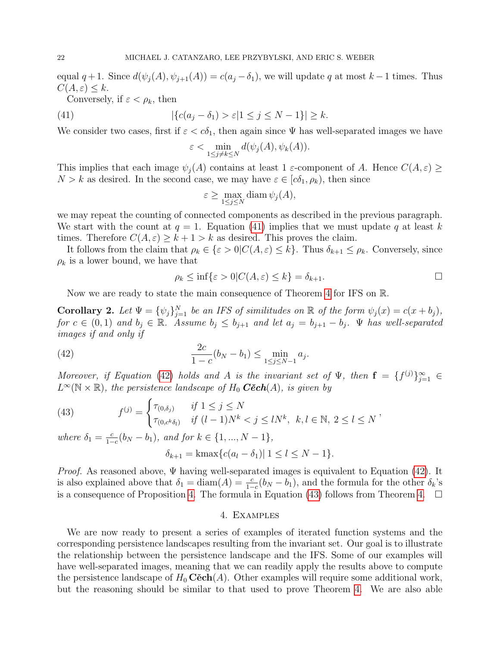equal  $q + 1$ . Since  $d(\psi_j(A), \psi_{j+1}(A)) = c(a_j - \delta_1)$ , we will update q at most  $k - 1$  times. Thus  $C(A, \varepsilon) \leq k$ .

Conversely, if  $\varepsilon < \rho_k$ , then

(41) 
$$
|\{c(a_j - \delta_1) > \varepsilon | 1 \le j \le N - 1\}| \ge k.
$$

We consider two cases, first if  $\varepsilon < c\delta_1$ , then again since  $\Psi$  has well-separated images we have

<span id="page-21-0"></span>
$$
\varepsilon < \min_{1 \le j \ne k \le N} d(\psi_j(A), \psi_k(A)).
$$

This implies that each image  $\psi_i(A)$  contains at least 1  $\varepsilon$ -component of A. Hence  $C(A, \varepsilon) \geq$  $N > k$  as desired. In the second case, we may have  $\varepsilon \in [c\delta_1, \rho_k)$ , then since

$$
\varepsilon \ge \max_{1 \le j \le N} \operatorname{diam} \psi_j(A),
$$

we may repeat the counting of connected components as described in the previous paragraph. We start with the count at  $q = 1$ . Equation [\(41\)](#page-21-0) implies that we must update q at least k times. Therefore  $C(A, \varepsilon) \geq k + 1 > k$  as desired. This proves the claim.

It follows from the claim that  $\rho_k \in \{\varepsilon > 0 | C(A, \varepsilon) \leq k\}$ . Thus  $\delta_{k+1} \leq \rho_k$ . Conversely, since  $\rho_k$  is a lower bound, we have that

<span id="page-21-1"></span>
$$
\rho_k \le \inf \{ \varepsilon > 0 | C(A, \varepsilon) \le k \} = \delta_{k+1}.
$$

Now we are ready to state the main consequence of Theorem [4](#page-15-0) for IFS on R.

<span id="page-21-3"></span>**Corollary 2.** Let  $\Psi = {\psi_j}_{j=1}^N$  be an IFS of similitudes on  $\mathbb R$  of the form  $\psi_j(x) = c(x + b_j)$ , for  $c \in (0,1)$  and  $b_j \in \mathbb{R}$ . Assume  $b_j \leq b_{j+1}$  and let  $a_j = b_{j+1} - b_j$ .  $\Psi$  has well-separated images if and only if

(42) 
$$
\frac{2c}{1-c}(b_N - b_1) \le \min_{1 \le j \le N-1} a_j.
$$

Moreover, if Equation [\(42\)](#page-21-1) holds and A is the invariant set of  $\Psi$ , then  $\mathbf{f} = \{f^{(j)}\}_{j=1}^{\infty} \in$  $L^{\infty}(\mathbb{N} \times \mathbb{R})$ , the persistence landscape of  $H_0$  **Cěch** $(A)$ , is given by

<span id="page-21-2"></span>(43) 
$$
f^{(j)} = \begin{cases} \tau_{(0,\delta_j)} & \text{if } 1 \le j \le N \\ \tau_{(0,c^k\delta_l)} & \text{if } (l-1)N^k < j \le lN^k, \ k, l \in \mathbb{N}, \ 2 \le l \le N \end{cases}
$$

where  $\delta_1 = \frac{c}{1-c}$  $\frac{c}{1-c}(b_N - b_1)$ , and for  $k \in \{1, ..., N-1\}$ ,

$$
\delta_{k+1} = \text{kmax}\{c(a_l - \delta_1) | 1 \le l \le N - 1\}.
$$

*Proof.* As reasoned above,  $\Psi$  having well-separated images is equivalent to Equation [\(42\)](#page-21-1). It is also explained above that  $\delta_1 = \text{diam}(A) = \frac{c}{1-c}(b_N - b_1)$ , and the formula for the other  $\delta_k$ 's is a consequence of Proposition [4.](#page-15-0) The formula in Equation [\(43\)](#page-21-2) follows from Theorem 4.  $\Box$ 

### 4. Examples

We are now ready to present a series of examples of iterated function systems and the corresponding persistence landscapes resulting from the invariant set. Our goal is to illustrate the relationship between the persistence landscape and the IFS. Some of our examples will have well-separated images, meaning that we can readily apply the results above to compute the persistence landscape of  $H_0 \mathbf{C\check{e}ch}(A)$ . Other examples will require some additional work, but the reasoning should be similar to that used to prove Theorem [4.](#page-15-0) We are also able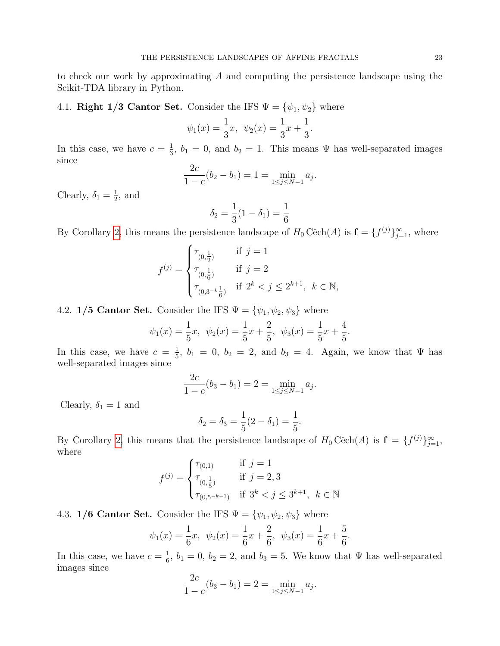to check our work by approximating A and computing the persistence landscape using the Scikit-TDA library in Python.

4.1. Right 1/3 Cantor Set. Consider the IFS  $\Psi = {\psi_1, \psi_2}$  where

$$
\psi_1(x) = \frac{1}{3}x, \quad \psi_2(x) = \frac{1}{3}x + \frac{1}{3}.
$$

In this case, we have  $c = \frac{1}{3}$  $\frac{1}{3}$ ,  $b_1 = 0$ , and  $b_2 = 1$ . This means  $\Psi$  has well-separated images since

$$
\frac{2c}{1-c}(b_2 - b_1) = 1 = \min_{1 \le j \le N-1} a_j.
$$

Clearly,  $\delta_1 = \frac{1}{2}$  $\frac{1}{2}$ , and

$$
\delta_2 = \frac{1}{3}(1 - \delta_1) = \frac{1}{6}
$$

By Corollary [2,](#page-21-3) this means the persistence landscape of  $H_0 C\text{ech}(A)$  is  $\mathbf{f} = \{f^{(j)}\}_{j=1}^{\infty}$ , where

$$
f^{(j)} = \begin{cases} \tau_{(0,\frac{1}{2})} & \text{if } j = 1 \\ \tau_{(0,\frac{1}{6})} & \text{if } j = 2 \\ \tau_{(0,3^{-k}\frac{1}{6})} & \text{if } 2^{k} < j \leq 2^{k+1}, \ k \in \mathbb{N}, \end{cases}
$$

4.2. 1/5 Cantor Set. Consider the IFS  $\Psi = {\psi_1, \psi_2, \psi_3}$  where

$$
\psi_1(x) = \frac{1}{5}x, \quad \psi_2(x) = \frac{1}{5}x + \frac{2}{5}, \quad \psi_3(x) = \frac{1}{5}x + \frac{4}{5}.
$$

In this case, we have  $c = \frac{1}{5}$  $\frac{1}{5}$ ,  $b_1 = 0$ ,  $b_2 = 2$ , and  $b_3 = 4$ . Again, we know that  $\Psi$  has well-separated images since

$$
\frac{2c}{1-c}(b_3-b_1) = 2 = \min_{1 \le j \le N-1} a_j.
$$

Clearly,  $\delta_1 = 1$  and

$$
\delta_2 = \delta_3 = \frac{1}{5}(2 - \delta_1) = \frac{1}{5}.
$$

By Corollary [2,](#page-21-3) this means that the persistence landscape of  $H_0 C\text{ech}(A)$  is  $\mathbf{f} = \{f^{(j)}\}_{j=1}^{\infty}$ , where

$$
f^{(j)} = \begin{cases} \tau_{(0,1)} & \text{if } j = 1\\ \tau_{(0,\frac{1}{5})} & \text{if } j = 2, 3\\ \tau_{(0,5^{-k-1})} & \text{if } 3^k < j \le 3^{k+1}, \ k \in \mathbb{N} \end{cases}
$$

4.3. 1/6 Cantor Set. Consider the IFS  $\Psi = {\psi_1, \psi_2, \psi_3}$  where

$$
\psi_1(x) = \frac{1}{6}x, \quad \psi_2(x) = \frac{1}{6}x + \frac{2}{6}, \quad \psi_3(x) = \frac{1}{6}x + \frac{5}{6}.
$$

In this case, we have  $c = \frac{1}{6}$  $\frac{1}{6}$ ,  $b_1 = 0$ ,  $b_2 = 2$ , and  $b_3 = 5$ . We know that  $\Psi$  has well-separated images since

$$
\frac{2c}{1-c}(b_3-b_1) = 2 = \min_{1 \le j \le N-1} a_j.
$$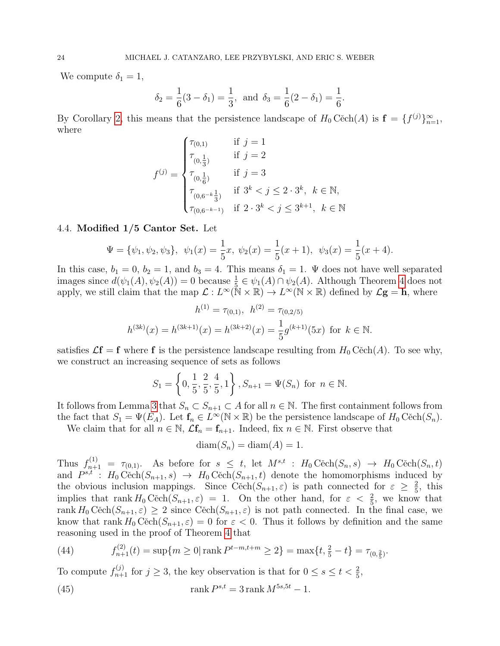We compute  $\delta_1 = 1$ ,

$$
\delta_2 = \frac{1}{6}(3 - \delta_1) = \frac{1}{3}
$$
, and  $\delta_3 = \frac{1}{6}(2 - \delta_1) = \frac{1}{6}$ .

By Corollary [2,](#page-21-3) this means that the persistence landscape of  $H_0 C$  $\check{e}ch(A)$  is  $\mathbf{f} = \{f^{(j)}\}_{n=1}^{\infty}$ , where

$$
f^{(j)} = \begin{cases} \tau_{(0,1)} & \text{if } j = 1 \\ \tau_{(0,\frac{1}{3})} & \text{if } j = 2 \\ \tau_{(0,\frac{1}{6})} & \text{if } j = 3 \\ \tau_{(0,6^{-k}\frac{1}{3})} & \text{if } 3^k < j \le 2 \cdot 3^k, \ k \in \mathbb{N}, \\ \tau_{(0,6^{-k-1})} & \text{if } 2 \cdot 3^k < j \le 3^{k+1}, \ k \in \mathbb{N} \end{cases}
$$

### <span id="page-23-0"></span>4.4. Modified 1/5 Cantor Set. Let

$$
\Psi = {\psi_1, \psi_2, \psi_3}, \ \psi_1(x) = \frac{1}{5}x, \ \psi_2(x) = \frac{1}{5}(x+1), \ \psi_3(x) = \frac{1}{5}(x+4).
$$

In this case,  $b_1 = 0$ ,  $b_2 = 1$ , and  $b_3 = 4$ . This means  $\delta_1 = 1$ .  $\Psi$  does not have well separated images since  $d(\psi_1(A), \psi_2(A)) = 0$  because  $\frac{1}{5} \in \psi_1(A) \cap \psi_2(A)$ . Although Theorem [4](#page-15-0) does not apply, we still claim that the map  $\mathcal{L}: L^{\infty}(\mathbb{N} \times \mathbb{R}) \to L^{\infty}(\mathbb{N} \times \mathbb{R})$  defined by  $\mathcal{L}g = h$ , where

$$
h^{(1)} = \tau_{(0,1)}, \ h^{(2)} = \tau_{(0,2/5)}
$$

$$
h^{(3k)}(x) = h^{(3k+1)}(x) = h^{(3k+2)}(x) = \frac{1}{5}g^{(k+1)}(5x) \text{ for } k \in \mathbb{N}.
$$

satisfies  $\mathcal{L}f = f$  where f is the persistence landscape resulting from  $H_0 C\text{ech}(A)$ . To see why, we construct an increasing sequence of sets as follows

$$
S_1 = \left\{0, \frac{1}{5}, \frac{2}{5}, \frac{4}{5}, 1\right\}, S_{n+1} = \Psi(S_n) \text{ for } n \in \mathbb{N}.
$$

It follows from Lemma [3](#page-12-1) that  $S_n \subset S_{n+1} \subset A$  for all  $n \in \mathbb{N}$ . The first containment follows from the fact that  $S_1 = \Psi(E_A)$ . Let  $\mathbf{f}_n \in L^{\infty}(\mathbb{N} \times \mathbb{R})$  be the persistence landscape of  $H_0$  Cěch $(S_n)$ .

We claim that for all  $n \in \mathbb{N}$ ,  $\mathcal{L}\mathbf{f}_n = \mathbf{f}_{n+1}$ . Indeed, fix  $n \in \mathbb{N}$ . First observe that

$$
diam(S_n) = diam(A) = 1.
$$

Thus  $f_{n+1}^{(1)} = \tau_{(0,1)}$ . As before for  $s \leq t$ , let  $M^{s,t}$ :  $H_0 \text{Cěch}(S_n, s) \rightarrow H_0 \text{Cěch}(S_n, t)$ and  $P^{s,t}$ :  $H_0 \text{Cěch}(S_{n+1}, s) \rightarrow H_0 \text{Cěch}(S_{n+1}, t)$  denote the homomorphisms induced by the obvious inclusion mappings. Since Cěch $(S_{n+1}, \varepsilon)$  is path connected for  $\varepsilon \geq \frac{2}{5}$  $\frac{2}{5}$ , this implies that rank  $H_0 \text{Cěch}(S_{n+1}, \varepsilon) = 1$ . On the other hand, for  $\varepsilon < \frac{2}{5}$ , we know that rank  $H_0 \text{Cěch}(S_{n+1}, \varepsilon) \geq 2$  since  $\text{Cěch}(S_{n+1}, \varepsilon)$  is not path connected. In the final case, we know that rank  $H_0 C\check{e}ch(S_{n+1}, \varepsilon) = 0$  for  $\varepsilon < 0$ . Thus it follows by definition and the same reasoning used in the proof of Theorem [4](#page-15-0) that

(44) 
$$
f_{n+1}^{(2)}(t) = \sup\{m \ge 0 | \operatorname{rank} P^{t-m,t+m} \ge 2\} = \max\{t, \frac{2}{5} - t\} = \tau_{(0,\frac{2}{5})}.
$$

To compute  $f_{n+1}^{(j)}$  for  $j \geq 3$ , the key observation is that for  $0 \leq s \leq t < \frac{2}{5}$ ,

<span id="page-23-1"></span>(45) 
$$
\operatorname{rank} P^{s,t} = 3 \operatorname{rank} M^{5s,5t} - 1.
$$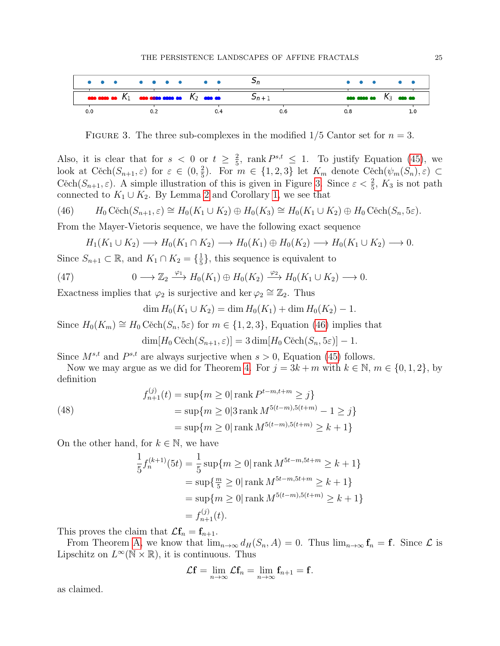

<span id="page-24-0"></span>FIGURE 3. The three sub-complexes in the modified  $1/5$  Cantor set for  $n=3$ .

Also, it is clear that for  $s < 0$  or  $t \geq \frac{2}{5}$  $\frac{2}{5}$ , rank  $P^{s,t} \leq 1$ . To justify Equation [\(45\)](#page-23-1), we look at Cěch $(S_{n+1}, \varepsilon)$  for  $\varepsilon \in (0, \frac{2}{5})$  $\frac{2}{5}$ ). For  $m \in \{1, 2, 3\}$  let  $K_m$  denote  $C^{\infty}_{\infty}(\psi_m(S_n), \varepsilon) \subset$ Cěch $(S_{n+1}, \varepsilon)$ . A simple illustration of this is given in Figure [3.](#page-24-0) Since  $\varepsilon < \frac{2}{5}$ ,  $K_3$  is not path connected to  $K_1 \cup K_2$ . By Lemma [2](#page-4-1) and Corollary [1,](#page-4-2) we see that

(46) 
$$
H_0 \text{ Cěch}(S_{n+1}, \varepsilon) \cong H_0(K_1 \cup K_2) \oplus H_0(K_3) \cong H_0(K_1 \cup K_2) \oplus H_0 \text{ Cěch}(S_n, 5\varepsilon).
$$

From the Mayer-Vietoris sequence, we have the following exact sequence

<span id="page-24-1"></span>
$$
H_1(K_1 \cup K_2) \longrightarrow H_0(K_1 \cap K_2) \longrightarrow H_0(K_1) \oplus H_0(K_2) \longrightarrow H_0(K_1 \cup K_2) \longrightarrow 0.
$$

Since  $S_{n+1} \subset \mathbb{R}$ , and  $K_1 \cap K_2 = \{\frac{1}{5}\}$  $\frac{1}{5}$ , this sequence is equivalent to

(47) 
$$
0 \longrightarrow \mathbb{Z}_2 \stackrel{\varphi_1}{\longrightarrow} H_0(K_1) \oplus H_0(K_2) \stackrel{\varphi_2}{\longrightarrow} H_0(K_1 \cup K_2) \longrightarrow 0.
$$

Exactness implies that  $\varphi_2$  is surjective and ker  $\varphi_2 \cong \mathbb{Z}_2$ . Thus

$$
\dim H_0(K_1 \cup K_2) = \dim H_0(K_1) + \dim H_0(K_2) - 1.
$$

Since  $H_0(K_m) \cong H_0 \check{C}ech(S_n, 5\varepsilon)$  for  $m \in \{1, 2, 3\}$ , Equation [\(46\)](#page-24-1) implies that

$$
\dim[H_0 \operatorname{C\check{e}ch}(S_{n+1}, \varepsilon)] = 3 \dim[H_0 \operatorname{C\check{e}ch}(S_n, 5\varepsilon)] - 1.
$$

Since  $M^{s,t}$  and  $P^{s,t}$  are always surjective when  $s > 0$ , Equation [\(45\)](#page-23-1) follows.

Now we may argue as we did for Theorem [4.](#page-15-0) For  $j = 3k + m$  with  $k \in \mathbb{N}$ ,  $m \in \{0, 1, 2\}$ , by definition

(48)  
\n
$$
f_{n+1}^{(j)}(t) = \sup\{m \ge 0 | \operatorname{rank} P^{t-m,t+m} \ge j\}
$$
\n
$$
= \sup\{m \ge 0 | 3 \operatorname{rank} M^{5(t-m),5(t+m)} - 1 \ge j\}
$$
\n
$$
= \sup\{m \ge 0 | \operatorname{rank} M^{5(t-m),5(t+m)} \ge k+1\}
$$

On the other hand, for  $k \in \mathbb{N}$ , we have

$$
\frac{1}{5}f_n^{(k+1)}(5t) = \frac{1}{5}\sup\{m \ge 0|\operatorname{rank} M^{5t-m,5t+m} \ge k+1\}
$$
  
=  $\sup\{\frac{m}{5} \ge 0|\operatorname{rank} M^{5t-m,5t+m} \ge k+1\}$   
=  $\sup\{m \ge 0|\operatorname{rank} M^{5(t-m),5(t+m)} \ge k+1\}$   
=  $f_{n+1}^{(j)}(t)$ .

This proves the claim that  $\mathcal{L}\mathbf{f}_n = \mathbf{f}_{n+1}$ .

From Theorem [A,](#page-1-0) we know that  $\lim_{n\to\infty} d_H(S_n, A) = 0$ . Thus  $\lim_{n\to\infty} f_n = f$ . Since  $\mathcal L$  is Lipschitz on  $L^{\infty}(\mathbb{N} \times \mathbb{R})$ , it is continuous. Thus

$$
\mathcal{L}\mathbf{f}=\lim_{n\to\infty}\mathcal{L}\mathbf{f}_n=\lim_{n\to\infty}\mathbf{f}_{n+1}=\mathbf{f}.
$$

as claimed.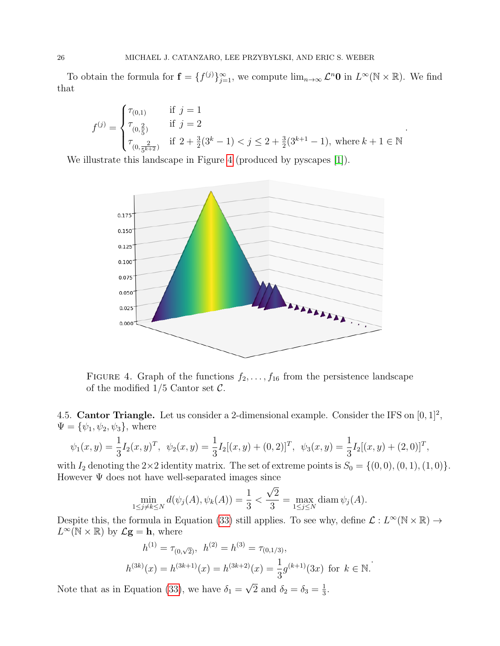To obtain the formula for  $\mathbf{f} = \{f^{(j)}\}_{j=1}^{\infty}$ , we compute  $\lim_{n\to\infty} \mathcal{L}^n\mathbf{0}$  in  $L^{\infty}(\mathbb{N} \times \mathbb{R})$ . We find that

$$
f^{(j)} = \begin{cases} \tau_{(0,1)} & \text{if } j = 1 \\ \tau_{(0,\tfrac{2}{5})} & \text{if } j = 2 \\ \tau_{(0,\tfrac{2}{5^{k+2}})} & \text{if } 2 + \tfrac{3}{2}(3^k - 1) < j \leq 2 + \tfrac{3}{2}(3^{k+1} - 1), \text{ where } k+1 \in \mathbb{N} \end{cases}
$$

.

We illustrate this landscape in Figure [4](#page-25-0) (produced by pyscapes [\[1\]](#page-29-2)).



<span id="page-25-0"></span>FIGURE 4. Graph of the functions  $f_2, \ldots, f_{16}$  from the persistence landscape of the modified  $1/5$  Cantor set  $\mathcal{C}$ .

4.5. Cantor Triangle. Let us consider a 2-dimensional example. Consider the IFS on  $[0, 1]^2$ ,  $\Psi = {\psi_1, \psi_2, \psi_3}$ , where

$$
\psi_1(x,y) = \frac{1}{3}I_2(x,y)^T, \quad \psi_2(x,y) = \frac{1}{3}I_2[(x,y) + (0,2)]^T, \quad \psi_3(x,y) = \frac{1}{3}I_2[(x,y) + (2,0)]^T,
$$

with  $I_2$  denoting the  $2\times 2$  identity matrix. The set of extreme points is  $S_0 = \{(0,0), (0,1), (1,0)\}.$ However Ψ does not have well-separated images since

$$
\min_{1 \le j \ne k \le N} d(\psi_j(A), \psi_k(A)) = \frac{1}{3} < \frac{\sqrt{2}}{3} = \max_{1 \le j \le N} \text{diam } \psi_j(A).
$$

Despite this, the formula in Equation [\(33\)](#page-17-2) still applies. To see why, define  $\mathcal{L}: L^{\infty}(\mathbb{N} \times \mathbb{R}) \to$  $L^{\infty}(\mathbb{N} \times \mathbb{R})$  by  $\mathcal{L}$ **g** = **h**, where

$$
h^{(1)} = \tau_{(0,\sqrt{2})}, \quad h^{(2)} = h^{(3)} = \tau_{(0,1/3)},
$$
  
\n
$$
h^{(3k)}(x) = h^{(3k+1)}(x) = h^{(3k+2)}(x) = \frac{1}{3}g^{(k+1)}(3x) \text{ for } k \in \mathbb{N}.
$$

Note that as in Equation [\(33\)](#page-17-2), we have  $\delta_1 =$  $\overline{2}$  and  $\delta_2 = \delta_3 = \frac{1}{3}$  $\frac{1}{3}$ .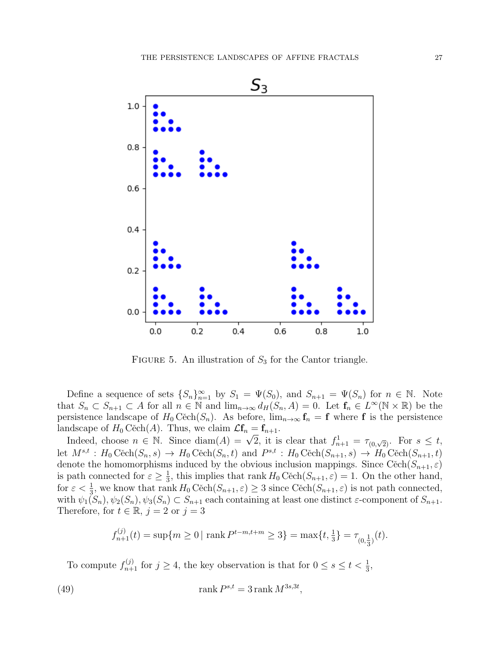

FIGURE 5. An illustration of  $S_3$  for the Cantor triangle.

Define a sequence of sets  $\{S_n\}_{n=1}^{\infty}$  by  $S_1 = \Psi(S_0)$ , and  $S_{n+1} = \Psi(S_n)$  for  $n \in \mathbb{N}$ . Note that  $S_n \subset S_{n+1} \subset A$  for all  $n \in \mathbb{N}$  and  $\lim_{n\to\infty} d_H(S_n, A) = 0$ . Let  $f_n \in L^{\infty}(\mathbb{N} \times \mathbb{R})$  be the persistence landscape of  $H_0 C\check{e}ch(S_n)$ . As before,  $\lim_{n\to\infty} f_n = f$  where f is the persistence landscape of  $H_0 \text{Cěch}(A)$ . Thus, we claim  $\mathcal{L}f_n = f_{n+1}$ .

idscape of  $H_0$  Cecn(A). Thus, we claim  $\mathcal{L}I_n = I_{n+1}$ .<br>Indeed, choose  $n \in \mathbb{N}$ . Since diam(A) =  $\sqrt{2}$ , it is clear that  $f_{n+1}^1 = \tau_{(0,\sqrt{2})}$ . For  $s \le t$ , let  $M^{s,t}: H_0 \text{Cěch}(S_n, s) \to H_0 \text{Cěch}(S_n, t)$  and  $P^{s,t}: H_0 \text{Cěch}(S_{n+1}, s) \to H_0 \text{Cěch}(S_{n+1}, t)$ denote the homomorphisms induced by the obvious inclusion mappings. Since  $C\text{ech}(S_{n+1}, \varepsilon)$ is path connected for  $\varepsilon \geq \frac{1}{3}$  $\frac{1}{3}$ , this implies that rank  $H_0 \text{Cěch}(S_{n+1}, \varepsilon) = 1$ . On the other hand, for  $\varepsilon < \frac{1}{3}$ , we know that rank  $H_0 \text{Cěch}(S_{n+1}, \varepsilon) \geq 3$  since  $\text{Cěch}(S_{n+1}, \varepsilon)$  is not path connected, with  $\psi_1(S_n), \psi_2(S_n), \psi_3(S_n) \subset S_{n+1}$  each containing at least one distinct  $\varepsilon$ -component of  $S_{n+1}$ . Therefore, for  $t \in \mathbb{R}$ ,  $j = 2$  or  $j = 3$ 

<span id="page-26-0"></span>
$$
f_{n+1}^{(j)}(t) = \sup\{m \ge 0 \mid \text{rank } P^{t-m, t+m} \ge 3\} = \max\{t, \frac{1}{3}\} = \tau_{(0, \frac{1}{3})}(t).
$$

To compute  $f_{n+1}^{(j)}$  for  $j \geq 4$ , the key observation is that for  $0 \leq s \leq t < \frac{1}{3}$ ,

(49) 
$$
\operatorname{rank} P^{s,t} = 3 \operatorname{rank} M^{3s,3t},
$$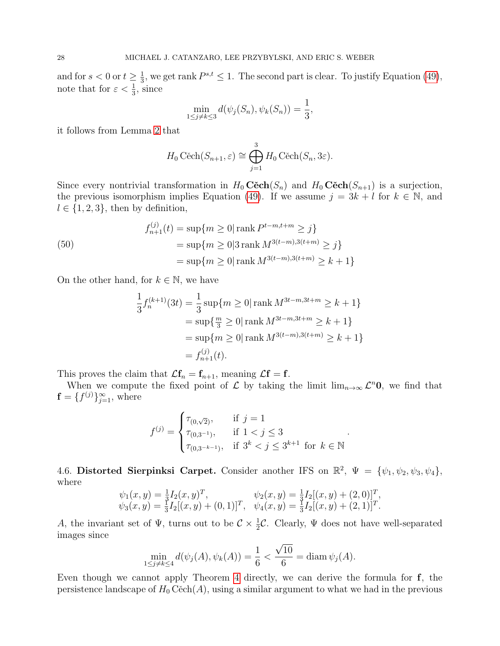and for  $s < 0$  or  $t \geq \frac{1}{3}$  $\frac{1}{3}$ , we get rank  $P^{s,t} \leq 1$ . The second part is clear. To justify Equation [\(49\)](#page-26-0), note that for  $\varepsilon < \frac{1}{3}$ , since

$$
\min_{1 \le j \ne k \le 3} d(\psi_j(S_n), \psi_k(S_n)) = \frac{1}{3},
$$

it follows from Lemma [2](#page-4-1) that

$$
H_0 \text{ Cěch}(S_{n+1}, \varepsilon) \cong \bigoplus_{j=1}^3 H_0 \text{ Cěch}(S_n, 3\varepsilon).
$$

Since every nontrivial transformation in  $H_0 \mathbf{C} \check{\mathbf{c}} ch(S_n)$  and  $H_0 \mathbf{C} \check{\mathbf{c}} ch(S_{n+1})$  is a surjection, the previous isomorphism implies Equation [\(49\)](#page-26-0). If we assume  $j = 3k + l$  for  $k \in \mathbb{N}$ , and  $l \in \{1, 2, 3\}$ , then by definition,

(50)  
\n
$$
f_{n+1}^{(j)}(t) = \sup\{m \ge 0 | \operatorname{rank} P^{t-m, t+m} \ge j\}
$$
\n
$$
= \sup\{m \ge 0 | 3 \operatorname{rank} M^{3(t-m), 3(t+m)} \ge j\}
$$
\n
$$
= \sup\{m \ge 0 | \operatorname{rank} M^{3(t-m), 3(t+m)} \ge k+1\}
$$

On the other hand, for  $k \in \mathbb{N}$ , we have

$$
\frac{1}{3}f_n^{(k+1)}(3t) = \frac{1}{3}\sup\{m \ge 0|\operatorname{rank} M^{3t-m,3t+m} \ge k+1\}
$$
  
=  $\sup\{\frac{m}{3} \ge 0|\operatorname{rank} M^{3t-m,3t+m} \ge k+1\}$   
=  $\sup\{m \ge 0|\operatorname{rank} M^{3(t-m),3(t+m)} \ge k+1\}$   
=  $f_{n+1}^{(j)}(t)$ .

This proves the claim that  $\mathcal{L}\mathbf{f}_n = \mathbf{f}_{n+1}$ , meaning  $\mathcal{L}\mathbf{f} = \mathbf{f}$ .

When we compute the fixed point of  $\mathcal L$  by taking the limit  $\lim_{n\to\infty}\mathcal L^n\mathbf{0}$ , we find that  $\mathbf{f} = \{f^{(j)}\}_{j=1}^{\infty}$ , where

$$
f^{(j)} = \begin{cases} \tau_{(0,\sqrt{2})}, & \text{if } j = 1\\ \tau_{(0,3^{-1})}, & \text{if } 1 < j \le 3\\ \tau_{(0,3^{-k-1})}, & \text{if } 3^k < j \le 3^{k+1} \text{ for } k \in \mathbb{N} \end{cases}
$$

.

4.6. Distorted Sierpinksi Carpet. Consider another IFS on  $\mathbb{R}^2$ ,  $\Psi = {\psi_1, \psi_2, \psi_3, \psi_4}$ , where

$$
\psi_1(x, y) = \frac{1}{3} I_2(x, y)^T, \n\psi_2(x, y) = \frac{1}{3} I_2[(x, y) + (0, 1)]^T, \n\psi_3(x, y) = \frac{1}{3} I_2[(x, y) + (0, 1)]^T, \n\psi_4(x, y) = \frac{1}{3} I_2[(x, y) + (2, 1)]^T.
$$

A, the invariant set of  $\Psi$ , turns out to be  $C \times \frac{1}{2}C$ . Clearly,  $\Psi$  does not have well-separated images since

$$
\min_{1 \le j \ne k \le 4} d(\psi_j(A), \psi_k(A)) = \frac{1}{6} < \frac{\sqrt{10}}{6} = \text{diam } \psi_j(A).
$$

Even though we cannot apply Theorem [4](#page-15-0) directly, we can derive the formula for f, the persistence landscape of  $H_0 C\check{e}ch(A)$ , using a similar argument to what we had in the previous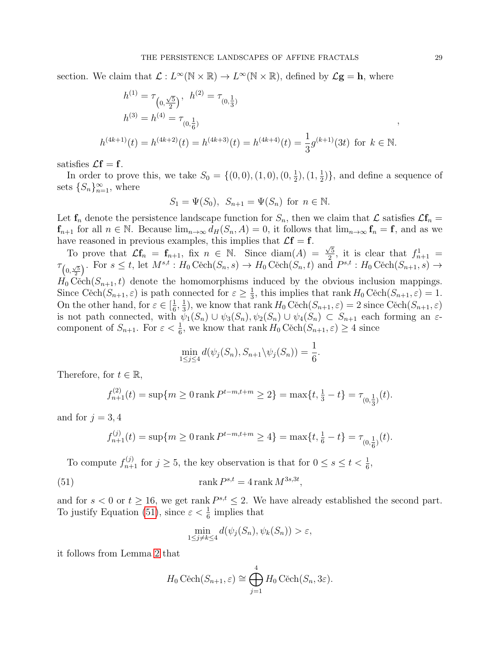section. We claim that  $\mathcal{L}: L^{\infty}(\mathbb{N} \times \mathbb{R}) \to L^{\infty}(\mathbb{N} \times \mathbb{R})$ , defined by  $\mathcal{L}$ **g** = **h**, where

$$
h^{(1)} = \tau_{\left(0, \frac{\sqrt{5}}{2}\right)}, \quad h^{(2)} = \tau_{(0, \frac{1}{3})}
$$
\n
$$
h^{(3)} = h^{(4)} = \tau_{(0, \frac{1}{6})}
$$
\n
$$
h^{(4k+1)}(t) = h^{(4k+2)}(t) = h^{(4k+3)}(t) = h^{(4k+4)}(t) = \frac{1}{3}g^{(k+1)}(3t) \text{ for } k \in \mathbb{N}.
$$

satisfies  $\mathcal{L}f = f$ .

In order to prove this, we take  $S_0 = \{(0,0), (1,0), (0, \frac{1}{2})\}$  $(\frac{1}{2}), (\frac{1}{2}, \frac{1}{2})$  $(\frac{1}{2})\},\$  and define a sequence of sets  $\{S_n\}_{n=1}^{\infty}$ , where

$$
S_1 = \Psi(S_0), \ S_{n+1} = \Psi(S_n) \text{ for } n \in \mathbb{N}.
$$

Let  $f_n$  denote the persistence landscape function for  $S_n$ , then we claim that  $\mathcal L$  satisfies  $\mathcal L f_n =$  $f_{n+1}$  for all  $n \in \mathbb{N}$ . Because  $\lim_{n\to\infty} d_H(S_n, A) = 0$ , it follows that  $\lim_{n\to\infty} f_n = f$ , and as we have reasoned in previous examples, this implies that  $\mathcal{L}f = f$ .

To prove that  $\mathcal{L} \mathbf{f}_n = \mathbf{f}_{n+1}$ , fix  $n \in \mathbb{N}$ . Since  $\text{diam}(A) = \frac{\sqrt{5}}{2}$ , it is clear that  $f_{n+1}^1 =$  $\tau_{(0, \frac{\sqrt{5}}{2})}$ . For  $s \le t$ , let  $M^{s,t} : H_0 \widetilde{Cech}(S_n, s) \to H_0 \widetilde{Cech}(S_n, t)$  and  $P^{s,t} : H_0 \widetilde{Cech}(S_{n+1}, s) \to H_0$  $H_0$  Cěch $(S_{n+1}, t)$  denote the homomorphisms induced by the obvious inclusion mappings. Since Cěch $(S_{n+1}, \varepsilon)$  is path connected for  $\varepsilon \geq \frac{1}{3}$  $\frac{1}{3}$ , this implies that rank  $H_0 \widetilde{C}$ ech $(S_{n+1}, \varepsilon) = 1$ . On the other hand, for  $\varepsilon \in \left[\frac{1}{6}\right]$  $\frac{1}{6}, \frac{1}{3}$  $\frac{1}{3}$ , we know that rank  $H_0 \widetilde{C}$ ech $(S_{n+1}, \varepsilon) = 2$  since  $\widetilde{C}$ ech $(S_{n+1}, \varepsilon)$ is not path connected, with  $\psi_1(S_n) \cup \psi_3(S_n)$ ,  $\psi_2(S_n) \cup \psi_4(S_n) \subset S_{n+1}$  each forming an  $\varepsilon$ component of  $S_{n+1}$ . For  $\varepsilon < \frac{1}{6}$ , we know that rank  $H_0 \widetilde{C}(\overline{S}_{n+1}, \varepsilon) \geq 4$  since

$$
\min_{1 \le j \le 4} d(\psi_j(S_n), S_{n+1} \backslash \psi_j(S_n)) = \frac{1}{6}.
$$

Therefore, for  $t \in \mathbb{R}$ ,

$$
f_{n+1}^{(2)}(t) = \sup\{m \ge 0 \text{ rank } P^{t-m, t+m} \ge 2\} = \max\{t, \frac{1}{3} - t\} = \tau_{(0, \frac{1}{3})}(t).
$$

and for  $j = 3, 4$ 

$$
f_{n+1}^{(j)}(t) = \sup\{m \ge 0 \text{ rank } P^{t-m, t+m} \ge 4\} = \max\{t, \frac{1}{6} - t\} = \tau_{(0, \frac{1}{6})}(t).
$$

To compute  $f_{n+1}^{(j)}$  for  $j \ge 5$ , the key observation is that for  $0 \le s \le t < \frac{1}{6}$ ,

(51) 
$$
\operatorname{rank} P^{s,t} = 4 \operatorname{rank} M^{3s,3t},
$$

and for  $s < 0$  or  $t \ge 16$ , we get rank  $P^{s,t} \le 2$ . We have already established the second part. To justify Equation [\(51\)](#page-28-0), since  $\varepsilon < \frac{1}{6}$  implies that

<span id="page-28-0"></span>
$$
\min_{1 \le j \ne k \le 4} d(\psi_j(S_n), \psi_k(S_n)) > \varepsilon,
$$

it follows from Lemma [2](#page-4-1) that

$$
H_0 \text{ Cěch}(S_{n+1}, \varepsilon) \cong \bigoplus_{j=1}^4 H_0 \text{ Cěch}(S_n, 3\varepsilon).
$$

,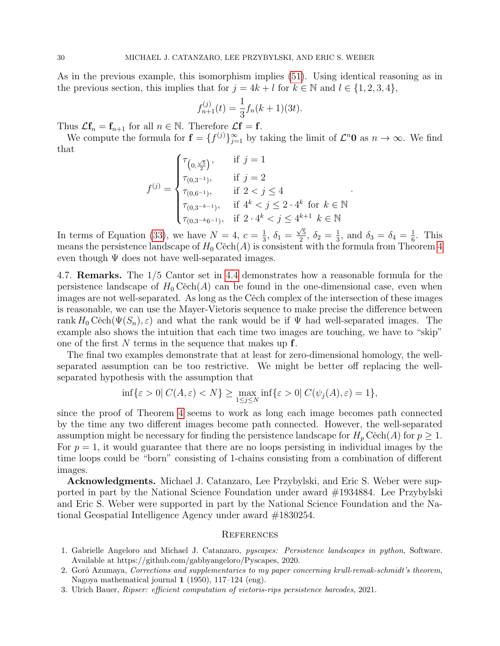As in the previous example, this isomorphism implies [\(51\)](#page-28-0). Using identical reasoning as in the previous section, this implies that for  $j = 4k + l$  for  $k \in \mathbb{N}$  and  $l \in \{1, 2, 3, 4\}$ ,

$$
f_{n+1}^{(j)}(t) = \frac{1}{3} f_n(k+1)(3t).
$$

Thus  $\mathcal{L} \mathbf{f}_n = \mathbf{f}_{n+1}$  for all  $n \in \mathbb{N}$ . Therefore  $\mathcal{L} \mathbf{f} = \mathbf{f}$ .

We compute the formula for  $\mathbf{f} = \{f^{(j)}\}_{j=1}^{\infty}$  by taking the limit of  $\mathcal{L}^n\mathbf{0}$  as  $n \to \infty$ . We find that

$$
f^{(j)} = \begin{cases} \tau_{\left(0, \frac{\sqrt{5}}{2}\right)}, & \text{if } j = 1\\ \tau_{\left(0, 3^{-1}\right)}, & \text{if } j = 2\\ \tau_{\left(0, 6^{-1}\right)}, & \text{if } 2 < j \le 4\\ \tau_{\left(0, 3^{-k-1}\right)}, & \text{if } 4^k < j \le 2 \cdot 4^k \text{ for } k \in \mathbb{N}\\ \tau_{\left(0, 3^{-k} 6^{-1}\right)}, & \text{if } 2 \cdot 4^k < j \le 4^{k+1} \quad k \in \mathbb{N} \end{cases}
$$

.

In terms of Equation [\(33\)](#page-17-2), we have  $N=4, c=\frac{1}{3}$  $\frac{1}{3}$ ,  $\delta_1 =$  $\sqrt{5}$  $\frac{\sqrt{5}}{2}, \ \delta_2 = \frac{1}{3}$  $\frac{1}{3}$ , and  $\delta_3 = \delta_4 = \frac{1}{6}$  $\frac{1}{6}$ . This means the persistence landscape of  $H_0 C$ ech(A) is consistent with the formula from Theorem [4](#page-15-0) even though  $\Psi$  does not have well-separated images.

4.7. Remarks. The 1/5 Cantor set in [4.4](#page-23-0) demonstrates how a reasonable formula for the persistence landscape of  $H_0 C$ ech(A) can be found in the one-dimensional case, even when images are not well-separated. As long as the Cěch complex of the intersection of these images is reasonable, we can use the Mayer-Vietoris sequence to make precise the difference between rank  $H_0 C$ ěch $(\Psi(S_n), \varepsilon)$  and what the rank would be if  $\Psi$  had well-separated images. The example also shows the intuition that each time two images are touching, we have to "skip" one of the first N terms in the sequence that makes up  $f$ .

The final two examples demonstrate that at least for zero-dimensional homology, the wellseparated assumption can be too restrictive. We might be better off replacing the wellseparated hypothesis with the assumption that

$$
\inf\{\varepsilon > 0\} \, C(A,\varepsilon) < N\} \ge \max_{1 \le j \le N} \inf\{\varepsilon > 0\} \, C(\psi_j(A),\varepsilon) = 1\},
$$

since the proof of Theorem [4](#page-15-0) seems to work as long each image becomes path connected by the time any two different images become path connected. However, the well-separated assumption might be necessary for finding the persistence landscape for  $H_p$  Cěch(A) for  $p \geq 1$ . For  $p = 1$ , it would guarantee that there are no loops persisting in individual images by the time loops could be "born" consisting of 1-chains consisting from a combination of different images.

Acknowledgments. Michael J. Catanzaro, Lee Przybylski, and Eric S. Weber were supported in part by the National Science Foundation under award #1934884. Lee Przybylski and Eric S. Weber were supported in part by the National Science Foundation and the National Geospatial Intelligence Agency under award #1830254.

### **REFERENCES**

- <span id="page-29-2"></span>1. Gabrielle Angeloro and Michael J. Catanzaro, pyscapes: Persistence landscapes in python, Software. Available at https://github.com/gabbyangeloro/Pyscapes, 2020.
- <span id="page-29-1"></span>2. Gorô Azumaya, Corrections and supplementaries to my paper concerning krull-remak-schmidt's theorem, Nagoya mathematical journal  $1$  (1950), 117–124 (eng).
- <span id="page-29-0"></span>3. Ulrich Bauer, Ripser: efficient computation of vietoris-rips persistence barcodes, 2021.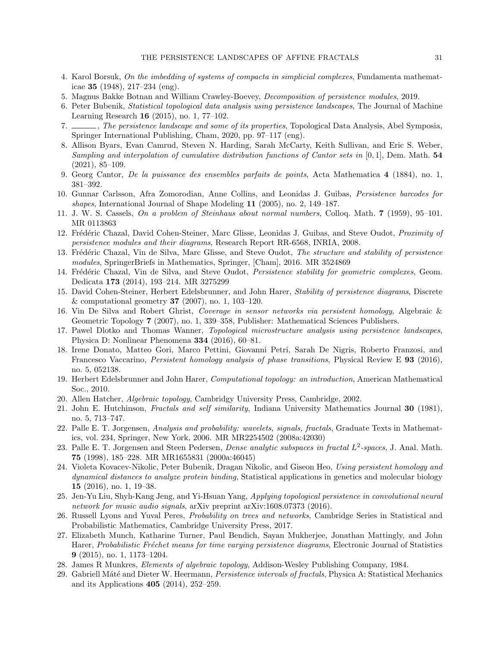- <span id="page-30-18"></span>4. Karol Borsuk, On the imbedding of systems of compacta in simplicial complexes, Fundamenta mathematicae 35 (1948), 217–234 (eng).
- <span id="page-30-20"></span>5. Magnus Bakke Botnan and William Crawley-Boevey, Decomposition of persistence modules, 2019.
- <span id="page-30-0"></span>6. Peter Bubenik, Statistical topological data analysis using persistence landscapes, The Journal of Machine Learning Research 16 (2015), no. 1, 77–102.
- <span id="page-30-25"></span>7. , The persistence landscape and some of its properties, Topological Data Analysis, Abel Symposia, Springer International Publishing, Cham, 2020, pp. 97–117 (eng).
- <span id="page-30-6"></span>8. Allison Byars, Evan Camrud, Steven N. Harding, Sarah McCarty, Keith Sullivan, and Eric S. Weber, Sampling and interpolation of cumulative distribution functions of Cantor sets in [0,1], Dem. Math. 54 (2021), 85–109.
- <span id="page-30-2"></span>9. Georg Cantor, De la puissance des ensembles parfaits de points, Acta Mathematica 4 (1884), no. 1, 381–392.
- <span id="page-30-9"></span>10. Gunnar Carlsson, Afra Zomorodian, Anne Collins, and Leonidas J. Guibas, Persistence barcodes for shapes, International Journal of Shape Modeling 11 (2005), no. 2, 149–187.
- <span id="page-30-3"></span>11. J. W. S. Cassels, On a problem of Steinhaus about normal numbers, Colloq. Math. 7 (1959), 95–101. MR 0113863
- <span id="page-30-22"></span>12. Frédéric Chazal, David Cohen-Steiner, Marc Glisse, Leonidas J. Guibas, and Steve Oudot, Proximity of persistence modules and their diagrams, Research Report RR-6568, INRIA, 2008.
- <span id="page-30-21"></span>13. Frédéric Chazal, Vin de Silva, Marc Glisse, and Steve Oudot, The structure and stability of persistence modules, SpringerBriefs in Mathematics, Springer, [Cham], 2016. MR 3524869
- <span id="page-30-24"></span>14. Frédéric Chazal, Vin de Silva, and Steve Oudot, Persistence stability for geometric complexes, Geom. Dedicata 173 (2014), 193–214. MR 3275299
- <span id="page-30-23"></span>15. David Cohen-Steiner, Herbert Edelsbrunner, and John Harer, Stability of persistence diagrams, Discrete & computational geometry **37** (2007), no. 1, 103-120.
- <span id="page-30-19"></span>16. Vin De Silva and Robert Ghrist, Coverage in sensor networks via persistent homology, Algebraic & Geometric Topology 7 (2007), no. 1, 339–358, Publisher: Mathematical Sciences Publishers.
- <span id="page-30-14"></span>17. Pawel Dlotko and Thomas Wanner, Topological microstructure analysis using persistence landscapes, Physica D: Nonlinear Phenomena 334 (2016), 60–81.
- <span id="page-30-12"></span>18. Irene Donato, Matteo Gori, Marco Pettini, Giovanni Petri, Sarah De Nigris, Roberto Franzosi, and Francesco Vaccarino, *Persistent homology analysis of phase transitions*, Physical Review E 93 (2016), no. 5, 052138.
- <span id="page-30-17"></span>19. Herbert Edelsbrunner and John Harer, Computational topology: an introduction, American Mathematical Soc., 2010.
- <span id="page-30-15"></span>20. Allen Hatcher, Algebraic topology, Cambridgy University Press, Cambridge, 2002.
- <span id="page-30-8"></span>21. John E. Hutchinson, Fractals and self similarity, Indiana University Mathematics Journal 30 (1981), no. 5, 713–747.
- <span id="page-30-5"></span>22. Palle E. T. Jorgensen, Analysis and probability: wavelets, signals, fractals, Graduate Texts in Mathematics, vol. 234, Springer, New York, 2006. MR MR2254502 (2008a:42030)
- <span id="page-30-7"></span>23. Palle E. T. Jorgensen and Steen Pedersen, *Dense analytic subspaces in fractal*  $L^2$ -spaces, J. Anal. Math. 75 (1998), 185–228. MR MR1655831 (2000a:46045)
- <span id="page-30-11"></span>24. Violeta Kovacev-Nikolic, Peter Bubenik, Dragan Nikolic, and Giseon Heo, Using persistent homology and dynamical distances to analyze protein binding, Statistical applications in genetics and molecular biology 15 (2016), no. 1, 19–38.
- <span id="page-30-13"></span>25. Jen-Yu Liu, Shyh-Kang Jeng, and Yi-Hsuan Yang, Applying topological persistence in convolutional neural network for music audio signals, arXiv preprint arXiv:1608.07373 (2016).
- <span id="page-30-4"></span>26. Russell Lyons and Yuval Peres, Probability on trees and networks, Cambridge Series in Statistical and Probabilistic Mathematics, Cambridge University Press, 2017.
- <span id="page-30-10"></span>27. Elizabeth Munch, Katharine Turner, Paul Bendich, Sayan Mukherjee, Jonathan Mattingly, and John Harer, Probabilistic Fréchet means for time varying persistence diagrams, Electronic Journal of Statistics 9 (2015), no. 1, 1173–1204.
- <span id="page-30-16"></span>28. James R Munkres, Elements of algebraic topology, Addison-Wesley Publishing Company, 1984.
- <span id="page-30-1"></span>29. Gabriell Máté and Dieter W. Heermann, *Persistence intervals of fractals*, Physica A: Statistical Mechanics and its Applications 405 (2014), 252–259.